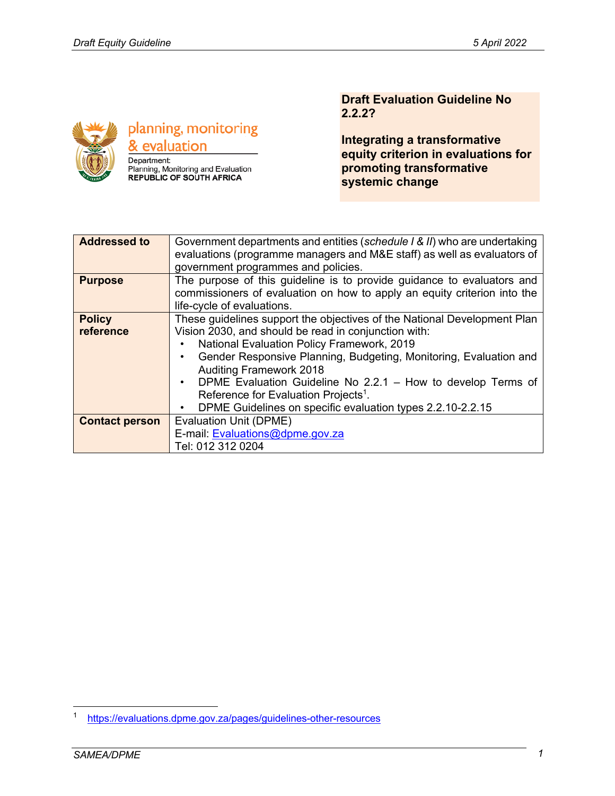

planning, monitoring & evaluation Department:

Planning, Monitoring and Evaluation<br>REPUBLIC OF SOUTH AFRICA

### **Draft Evaluation Guideline No 2.2.2?**

**Integrating a transformative equity criterion in evaluations for promoting transformative systemic change** 

| <b>Addressed to</b>   | Government departments and entities (schedule I & II) who are undertaking |  |  |  |
|-----------------------|---------------------------------------------------------------------------|--|--|--|
|                       | evaluations (programme managers and M&E staff) as well as evaluators of   |  |  |  |
|                       | government programmes and policies.                                       |  |  |  |
| <b>Purpose</b>        | The purpose of this guideline is to provide guidance to evaluators and    |  |  |  |
|                       | commissioners of evaluation on how to apply an equity criterion into the  |  |  |  |
|                       | life-cycle of evaluations.                                                |  |  |  |
| <b>Policy</b>         | These guidelines support the objectives of the National Development Plan  |  |  |  |
| reference             | Vision 2030, and should be read in conjunction with:                      |  |  |  |
|                       | National Evaluation Policy Framework, 2019                                |  |  |  |
|                       | Gender Responsive Planning, Budgeting, Monitoring, Evaluation and         |  |  |  |
|                       | <b>Auditing Framework 2018</b>                                            |  |  |  |
|                       | DPME Evaluation Guideline No 2.2.1 - How to develop Terms of              |  |  |  |
|                       | Reference for Evaluation Projects <sup>1</sup> .                          |  |  |  |
|                       | DPME Guidelines on specific evaluation types 2.2.10-2.2.15<br>٠           |  |  |  |
| <b>Contact person</b> | Evaluation Unit (DPME)                                                    |  |  |  |
|                       | E-mail: Evaluations@dpme.gov.za                                           |  |  |  |
|                       | Tel: 012 312 0204                                                         |  |  |  |

<sup>1</sup> https://evaluations.dpme.gov.za/pages/guidelines-other-resources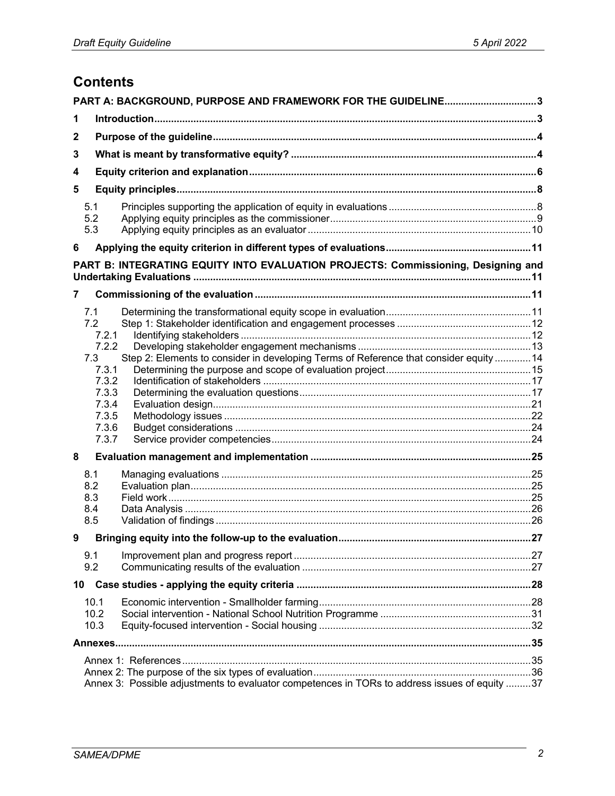# **Contents**

|   |                                                                                                                                       | PART A: BACKGROUND, PURPOSE AND FRAMEWORK FOR THE GUIDELINE3                                  |  |  |  |
|---|---------------------------------------------------------------------------------------------------------------------------------------|-----------------------------------------------------------------------------------------------|--|--|--|
| 1 |                                                                                                                                       |                                                                                               |  |  |  |
| 2 |                                                                                                                                       |                                                                                               |  |  |  |
| 3 |                                                                                                                                       |                                                                                               |  |  |  |
| 4 |                                                                                                                                       |                                                                                               |  |  |  |
| 5 |                                                                                                                                       |                                                                                               |  |  |  |
|   | 5.1<br>5.2<br>5.3                                                                                                                     |                                                                                               |  |  |  |
| 6 |                                                                                                                                       |                                                                                               |  |  |  |
|   |                                                                                                                                       | PART B: INTEGRATING EQUITY INTO EVALUATION PROJECTS: Commissioning, Designing and             |  |  |  |
| 7 |                                                                                                                                       |                                                                                               |  |  |  |
| 8 | 7.1<br>7.2<br>7.2.1<br>7.2.2<br>7.3<br>7.3.1<br>7.3.2<br>7.3.3<br>7.3.4<br>7.3.5<br>7.3.6<br>7.3.7<br>8.1<br>8.2<br>8.3<br>8.4<br>8.5 | Step 2: Elements to consider in developing Terms of Reference that consider equity 14         |  |  |  |
| 9 |                                                                                                                                       |                                                                                               |  |  |  |
|   | 9.1<br>9.2                                                                                                                            |                                                                                               |  |  |  |
|   | 10                                                                                                                                    |                                                                                               |  |  |  |
|   | 10.1<br>10.2<br>10.3                                                                                                                  |                                                                                               |  |  |  |
|   |                                                                                                                                       |                                                                                               |  |  |  |
|   |                                                                                                                                       | Annex 3: Possible adjustments to evaluator competences in TORs to address issues of equity 37 |  |  |  |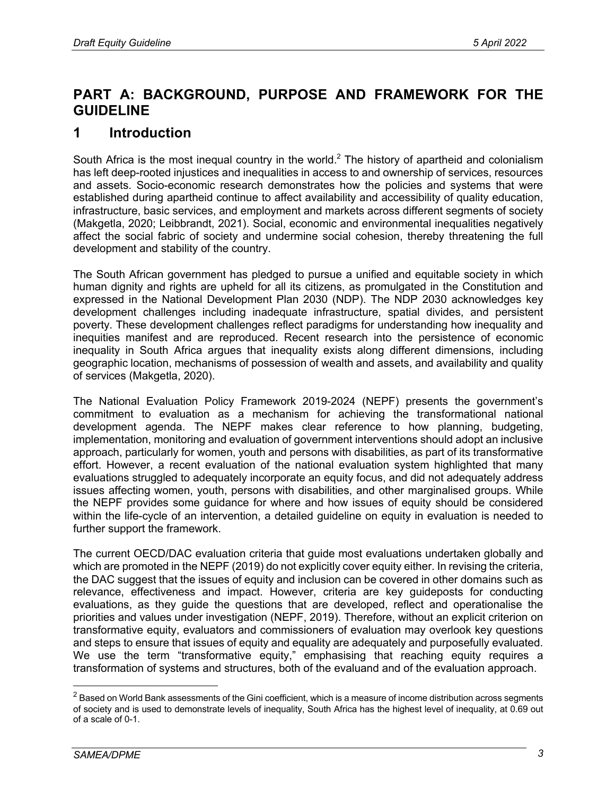## **PART A: BACKGROUND, PURPOSE AND FRAMEWORK FOR THE GUIDELINE**

## **1 Introduction**

South Africa is the most inequal country in the world.<sup>2</sup> The history of apartheid and colonialism has left deep-rooted injustices and inequalities in access to and ownership of services, resources and assets. Socio-economic research demonstrates how the policies and systems that were established during apartheid continue to affect availability and accessibility of quality education, infrastructure, basic services, and employment and markets across different segments of society (Makgetla, 2020; Leibbrandt, 2021). Social, economic and environmental inequalities negatively affect the social fabric of society and undermine social cohesion, thereby threatening the full development and stability of the country.

The South African government has pledged to pursue a unified and equitable society in which human dignity and rights are upheld for all its citizens, as promulgated in the Constitution and expressed in the National Development Plan 2030 (NDP). The NDP 2030 acknowledges key development challenges including inadequate infrastructure, spatial divides, and persistent poverty. These development challenges reflect paradigms for understanding how inequality and inequities manifest and are reproduced. Recent research into the persistence of economic inequality in South Africa argues that inequality exists along different dimensions, including geographic location, mechanisms of possession of wealth and assets, and availability and quality of services (Makgetla, 2020).

The National Evaluation Policy Framework 2019-2024 (NEPF) presents the government's commitment to evaluation as a mechanism for achieving the transformational national development agenda. The NEPF makes clear reference to how planning, budgeting, implementation, monitoring and evaluation of government interventions should adopt an inclusive approach, particularly for women, youth and persons with disabilities, as part of its transformative effort. However, a recent evaluation of the national evaluation system highlighted that many evaluations struggled to adequately incorporate an equity focus, and did not adequately address issues affecting women, youth, persons with disabilities, and other marginalised groups. While the NEPF provides some guidance for where and how issues of equity should be considered within the life-cycle of an intervention, a detailed guideline on equity in evaluation is needed to further support the framework.

The current OECD/DAC evaluation criteria that guide most evaluations undertaken globally and which are promoted in the NEPF (2019) do not explicitly cover equity either. In revising the criteria, the DAC suggest that the issues of equity and inclusion can be covered in other domains such as relevance, effectiveness and impact. However, criteria are key guideposts for conducting evaluations, as they guide the questions that are developed, reflect and operationalise the priorities and values under investigation (NEPF, 2019). Therefore, without an explicit criterion on transformative equity, evaluators and commissioners of evaluation may overlook key questions and steps to ensure that issues of equity and equality are adequately and purposefully evaluated. We use the term "transformative equity," emphasising that reaching equity requires a transformation of systems and structures, both of the evaluand and of the evaluation approach.

 $2$  Based on World Bank assessments of the Gini coefficient, which is a measure of income distribution across segments of society and is used to demonstrate levels of inequality, South Africa has the highest level of inequality, at 0.69 out of a scale of 0-1.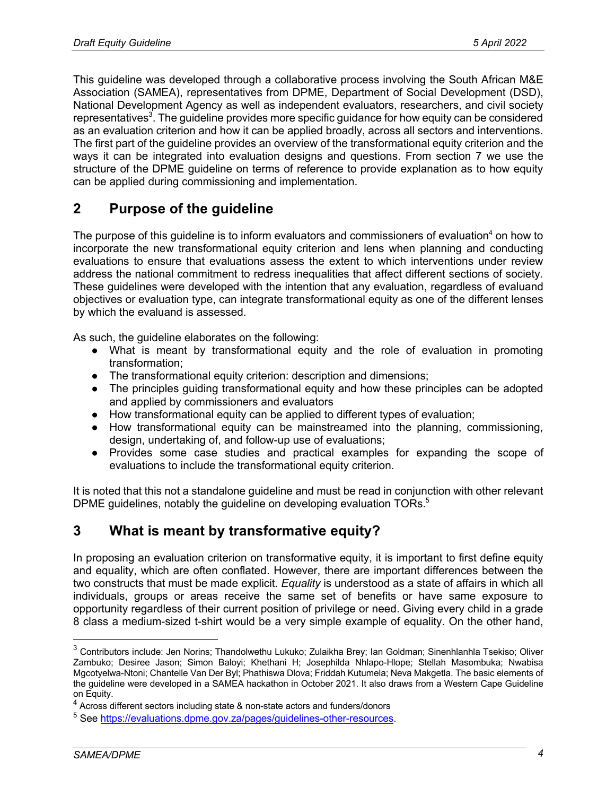This guideline was developed through a collaborative process involving the South African M&E Association (SAMEA), representatives from DPME, Department of Social Development (DSD), National Development Agency as well as independent evaluators, researchers, and civil society representatives<sup>3</sup>. The guideline provides more specific guidance for how equity can be considered as an evaluation criterion and how it can be applied broadly, across all sectors and interventions. The first part of the guideline provides an overview of the transformational equity criterion and the ways it can be integrated into evaluation designs and questions. From section 7 we use the structure of the DPME guideline on terms of reference to provide explanation as to how equity can be applied during commissioning and implementation.

## **2 Purpose of the guideline**

The purpose of this guideline is to inform evaluators and commissioners of evaluation<sup>4</sup> on how to incorporate the new transformational equity criterion and lens when planning and conducting evaluations to ensure that evaluations assess the extent to which interventions under review address the national commitment to redress inequalities that affect different sections of society. These guidelines were developed with the intention that any evaluation, regardless of evaluand objectives or evaluation type, can integrate transformational equity as one of the different lenses by which the evaluand is assessed.

As such, the guideline elaborates on the following:

- What is meant by transformational equity and the role of evaluation in promoting transformation;
- The transformational equity criterion: description and dimensions;
- The principles guiding transformational equity and how these principles can be adopted and applied by commissioners and evaluators
- How transformational equity can be applied to different types of evaluation;
- How transformational equity can be mainstreamed into the planning, commissioning, design, undertaking of, and follow-up use of evaluations;
- Provides some case studies and practical examples for expanding the scope of evaluations to include the transformational equity criterion.

It is noted that this not a standalone guideline and must be read in conjunction with other relevant DPME guidelines, notably the guideline on developing evaluation TORs.<sup>5</sup>

## **3 What is meant by transformative equity?**

In proposing an evaluation criterion on transformative equity, it is important to first define equity and equality, which are often conflated. However, there are important differences between the two constructs that must be made explicit. *Equality* is understood as a state of affairs in which all individuals, groups or areas receive the same set of benefits or have same exposure to opportunity regardless of their current position of privilege or need. Giving every child in a grade 8 class a medium-sized t-shirt would be a very simple example of equality. On the other hand,

<sup>3</sup> Contributors include: Jen Norins; Thandolwethu Lukuko; Zulaikha Brey; Ian Goldman; Sinenhlanhla Tsekiso; Oliver Zambuko; Desiree Jason; Simon Baloyi; Khethani H; Josephilda Nhlapo-Hlope; Stellah Masombuka; Nwabisa Mgcotyelwa-Ntoni; Chantelle Van Der Byl; Phathiswa Dlova; Friddah Kutumela; Neva Makgetla. The basic elements of the guideline were developed in a SAMEA hackathon in October 2021. It also draws from a Western Cape Guideline on Equity.

<sup>&</sup>lt;sup>4</sup> Across different sectors including state & non-state actors and funders/donors

<sup>5</sup> See https://evaluations.dpme.gov.za/pages/guidelines-other-resources.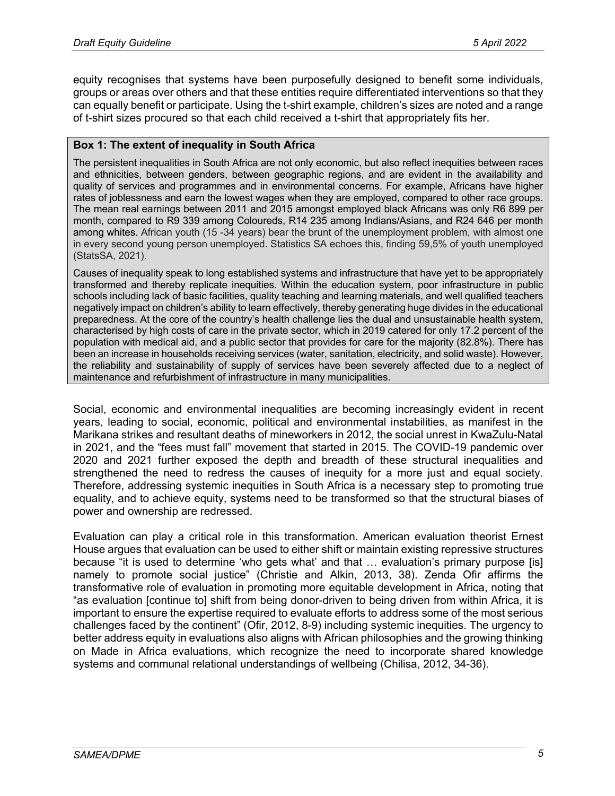equity recognises that systems have been purposefully designed to benefit some individuals, groups or areas over others and that these entities require differentiated interventions so that they can equally benefit or participate. Using the t-shirt example, children's sizes are noted and a range of t-shirt sizes procured so that each child received a t-shirt that appropriately fits her.

#### **Box 1: The extent of inequality in South Africa**

The persistent inequalities in South Africa are not only economic, but also reflect inequities between races and ethnicities, between genders, between geographic regions, and are evident in the availability and quality of services and programmes and in environmental concerns. For example, Africans have higher rates of joblessness and earn the lowest wages when they are employed, compared to other race groups. The mean real earnings between 2011 and 2015 amongst employed black Africans was only R6 899 per month, compared to R9 339 among Coloureds, R14 235 among Indians/Asians, and R24 646 per month among whites. African youth (15 -34 years) bear the brunt of the unemployment problem, with almost one in every second young person unemployed. Statistics SA echoes this, finding 59,5% of youth unemployed (StatsSA, 2021).

Causes of inequality speak to long established systems and infrastructure that have yet to be appropriately transformed and thereby replicate inequities. Within the education system, poor infrastructure in public schools including lack of basic facilities, quality teaching and learning materials, and well qualified teachers negatively impact on children's ability to learn effectively, thereby generating huge divides in the educational preparedness. At the core of the country's health challenge lies the dual and unsustainable health system, characterised by high costs of care in the private sector, which in 2019 catered for only 17.2 percent of the population with medical aid, and a public sector that provides for care for the majority (82.8%). There has been an increase in households receiving services (water, sanitation, electricity, and solid waste). However, the reliability and sustainability of supply of services have been severely affected due to a neglect of maintenance and refurbishment of infrastructure in many municipalities.

Social, economic and environmental inequalities are becoming increasingly evident in recent years, leading to social, economic, political and environmental instabilities, as manifest in the Marikana strikes and resultant deaths of mineworkers in 2012, the social unrest in KwaZulu-Natal in 2021, and the "fees must fall" movement that started in 2015. The COVID-19 pandemic over 2020 and 2021 further exposed the depth and breadth of these structural inequalities and strengthened the need to redress the causes of inequity for a more just and equal society. Therefore, addressing systemic inequities in South Africa is a necessary step to promoting true equality, and to achieve equity, systems need to be transformed so that the structural biases of power and ownership are redressed.

Evaluation can play a critical role in this transformation. American evaluation theorist Ernest House argues that evaluation can be used to either shift or maintain existing repressive structures because "it is used to determine 'who gets what' and that … evaluation's primary purpose [is] namely to promote social justice" (Christie and Alkin, 2013, 38). Zenda Ofir affirms the transformative role of evaluation in promoting more equitable development in Africa, noting that "as evaluation [continue to] shift from being donor-driven to being driven from within Africa, it is important to ensure the expertise required to evaluate efforts to address some of the most serious challenges faced by the continent" (Ofir, 2012, 8-9) including systemic inequities. The urgency to better address equity in evaluations also aligns with African philosophies and the growing thinking on Made in Africa evaluations, which recognize the need to incorporate shared knowledge systems and communal relational understandings of wellbeing (Chilisa, 2012, 34-36).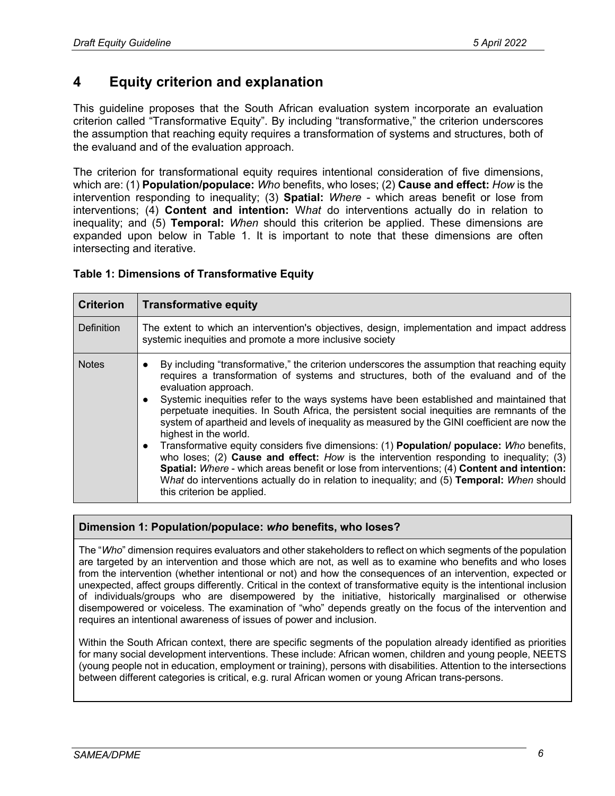## **4 Equity criterion and explanation**

This guideline proposes that the South African evaluation system incorporate an evaluation criterion called "Transformative Equity". By including "transformative," the criterion underscores the assumption that reaching equity requires a transformation of systems and structures, both of the evaluand and of the evaluation approach.

The criterion for transformational equity requires intentional consideration of five dimensions, which are: (1) **Population/populace:** *Who* benefits, who loses; (2) **Cause and effect:** *How* is the intervention responding to inequality; (3) **Spatial:** *Where* - which areas benefit or lose from interventions; (4) **Content and intention:** W*hat* do interventions actually do in relation to inequality; and (5) **Temporal:** *When* should this criterion be applied. These dimensions are expanded upon below in Table 1. It is important to note that these dimensions are often intersecting and iterative.

#### **Table 1: Dimensions of Transformative Equity**

| <b>Criterion</b>  | <b>Transformative equity</b>                                                                                                                                                                                                                                                                                                                                                                                                                                                                                                                                                                                                                                                                                                                                                                                                                                                                                                                        |  |
|-------------------|-----------------------------------------------------------------------------------------------------------------------------------------------------------------------------------------------------------------------------------------------------------------------------------------------------------------------------------------------------------------------------------------------------------------------------------------------------------------------------------------------------------------------------------------------------------------------------------------------------------------------------------------------------------------------------------------------------------------------------------------------------------------------------------------------------------------------------------------------------------------------------------------------------------------------------------------------------|--|
| <b>Definition</b> | The extent to which an intervention's objectives, design, implementation and impact address<br>systemic inequities and promote a more inclusive society                                                                                                                                                                                                                                                                                                                                                                                                                                                                                                                                                                                                                                                                                                                                                                                             |  |
| <b>Notes</b>      | By including "transformative," the criterion underscores the assumption that reaching equity<br>requires a transformation of systems and structures, both of the evaluand and of the<br>evaluation approach.<br>Systemic inequities refer to the ways systems have been established and maintained that<br>perpetuate inequities. In South Africa, the persistent social inequities are remnants of the<br>system of apartheid and levels of inequality as measured by the GINI coefficient are now the<br>highest in the world.<br>Transformative equity considers five dimensions: (1) Population/ populace: Who benefits,<br>who loses; (2) Cause and effect: $How$ is the intervention responding to inequality; (3)<br>Spatial: Where - which areas benefit or lose from interventions; (4) Content and intention:<br>What do interventions actually do in relation to inequality; and (5) Temporal: When should<br>this criterion be applied. |  |

#### **Dimension 1: Population/populace:** *who* **benefits, who loses?**

The "*Who*" dimension requires evaluators and other stakeholders to reflect on which segments of the population are targeted by an intervention and those which are not, as well as to examine who benefits and who loses from the intervention (whether intentional or not) and how the consequences of an intervention, expected or unexpected, affect groups differently. Critical in the context of transformative equity is the intentional inclusion of individuals/groups who are disempowered by the initiative, historically marginalised or otherwise disempowered or voiceless. The examination of "who" depends greatly on the focus of the intervention and requires an intentional awareness of issues of power and inclusion.

Within the South African context, there are specific segments of the population already identified as priorities for many social development interventions. These include: African women, children and young people, NEETS (young people not in education, employment or training), persons with disabilities. Attention to the intersections between different categories is critical, e.g. rural African women or young African trans-persons.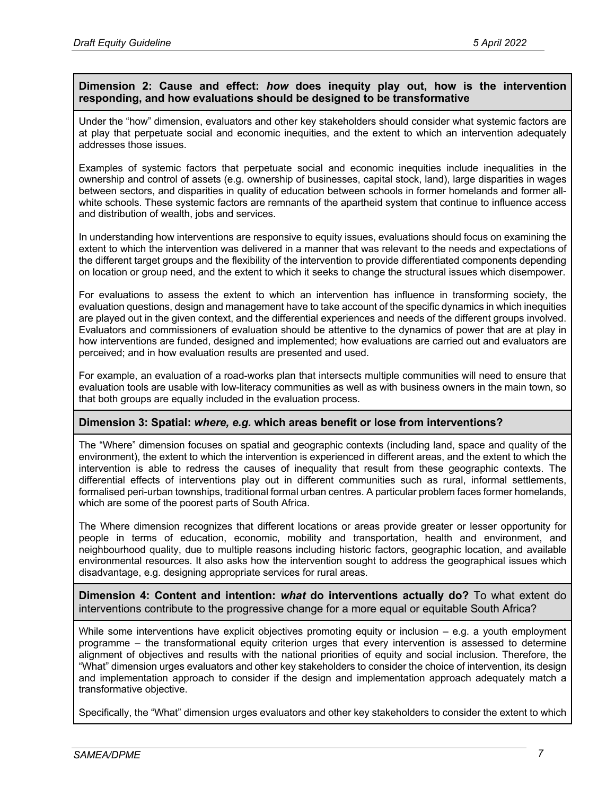#### **Dimension 2: Cause and effect:** *how* **does inequity play out, how is the intervention responding, and how evaluations should be designed to be transformative**

Under the "how" dimension, evaluators and other key stakeholders should consider what systemic factors are at play that perpetuate social and economic inequities, and the extent to which an intervention adequately addresses those issues.

Examples of systemic factors that perpetuate social and economic inequities include inequalities in the ownership and control of assets (e.g. ownership of businesses, capital stock, land), large disparities in wages between sectors, and disparities in quality of education between schools in former homelands and former allwhite schools. These systemic factors are remnants of the apartheid system that continue to influence access and distribution of wealth, jobs and services.

In understanding how interventions are responsive to equity issues, evaluations should focus on examining the extent to which the intervention was delivered in a manner that was relevant to the needs and expectations of the different target groups and the flexibility of the intervention to provide differentiated components depending on location or group need, and the extent to which it seeks to change the structural issues which disempower.

For evaluations to assess the extent to which an intervention has influence in transforming society, the evaluation questions, design and management have to take account of the specific dynamics in which inequities are played out in the given context, and the differential experiences and needs of the different groups involved. Evaluators and commissioners of evaluation should be attentive to the dynamics of power that are at play in how interventions are funded, designed and implemented; how evaluations are carried out and evaluators are perceived; and in how evaluation results are presented and used.

For example, an evaluation of a road-works plan that intersects multiple communities will need to ensure that evaluation tools are usable with low-literacy communities as well as with business owners in the main town, so that both groups are equally included in the evaluation process.

#### **Dimension 3: Spatial:** *where, e.g.* **which areas benefit or lose from interventions?**

The "Where" dimension focuses on spatial and geographic contexts (including land, space and quality of the environment), the extent to which the intervention is experienced in different areas, and the extent to which the intervention is able to redress the causes of inequality that result from these geographic contexts. The differential effects of interventions play out in different communities such as rural, informal settlements, formalised peri-urban townships, traditional formal urban centres. A particular problem faces former homelands, which are some of the poorest parts of South Africa.

The Where dimension recognizes that different locations or areas provide greater or lesser opportunity for people in terms of education, economic, mobility and transportation, health and environment, and neighbourhood quality, due to multiple reasons including historic factors, geographic location, and available environmental resources. It also asks how the intervention sought to address the geographical issues which disadvantage, e.g. designing appropriate services for rural areas.

**Dimension 4: Content and intention:** *what* **do interventions actually do?** To what extent do interventions contribute to the progressive change for a more equal or equitable South Africa?

While some interventions have explicit objectives promoting equity or inclusion – e.g. a youth employment programme – the transformational equity criterion urges that every intervention is assessed to determine alignment of objectives and results with the national priorities of equity and social inclusion. Therefore, the "What" dimension urges evaluators and other key stakeholders to consider the choice of intervention, its design and implementation approach to consider if the design and implementation approach adequately match a transformative objective.

Specifically, the "What" dimension urges evaluators and other key stakeholders to consider the extent to which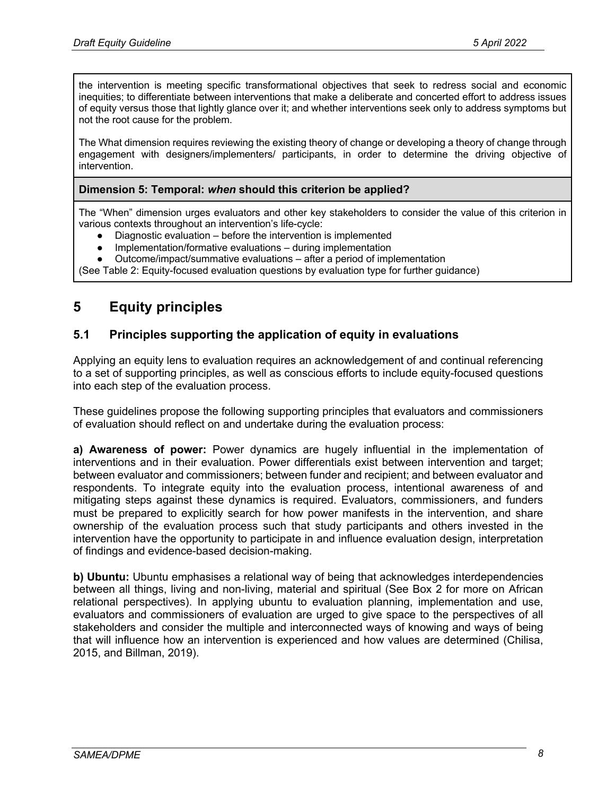the intervention is meeting specific transformational objectives that seek to redress social and economic inequities; to differentiate between interventions that make a deliberate and concerted effort to address issues of equity versus those that lightly glance over it; and whether interventions seek only to address symptoms but not the root cause for the problem.

The What dimension requires reviewing the existing theory of change or developing a theory of change through engagement with designers/implementers/ participants, in order to determine the driving objective of intervention.

#### **Dimension 5: Temporal:** *when* **should this criterion be applied?**

The "When" dimension urges evaluators and other key stakeholders to consider the value of this criterion in various contexts throughout an intervention's life-cycle:

- Diagnostic evaluation before the intervention is implemented
- Implementation/formative evaluations during implementation
- Outcome/impact/summative evaluations after a period of implementation

(See Table 2: Equity-focused evaluation questions by evaluation type for further guidance)

## **5 Equity principles**

### **5.1 Principles supporting the application of equity in evaluations**

Applying an equity lens to evaluation requires an acknowledgement of and continual referencing to a set of supporting principles, as well as conscious efforts to include equity-focused questions into each step of the evaluation process.

These guidelines propose the following supporting principles that evaluators and commissioners of evaluation should reflect on and undertake during the evaluation process:

**a) Awareness of power:** Power dynamics are hugely influential in the implementation of interventions and in their evaluation. Power differentials exist between intervention and target; between evaluator and commissioners; between funder and recipient; and between evaluator and respondents. To integrate equity into the evaluation process, intentional awareness of and mitigating steps against these dynamics is required. Evaluators, commissioners, and funders must be prepared to explicitly search for how power manifests in the intervention, and share ownership of the evaluation process such that study participants and others invested in the intervention have the opportunity to participate in and influence evaluation design, interpretation of findings and evidence-based decision-making.

**b) Ubuntu:** Ubuntu emphasises a relational way of being that acknowledges interdependencies between all things, living and non-living, material and spiritual (See Box 2 for more on African relational perspectives). In applying ubuntu to evaluation planning, implementation and use, evaluators and commissioners of evaluation are urged to give space to the perspectives of all stakeholders and consider the multiple and interconnected ways of knowing and ways of being that will influence how an intervention is experienced and how values are determined (Chilisa, 2015, and Billman, 2019).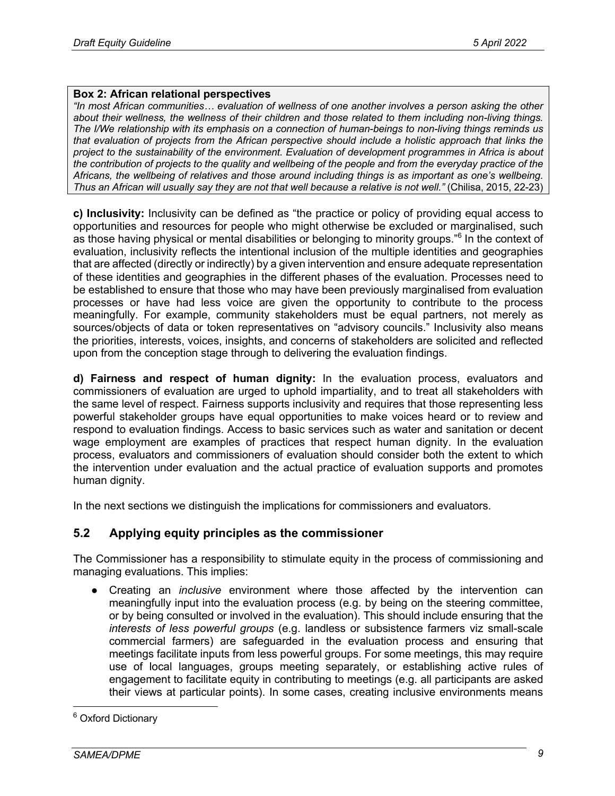#### **Box 2: African relational perspectives**

*"In most African communities… evaluation of wellness of one another involves a person asking the other about their wellness, the wellness of their children and those related to them including non-living things. The I/We relationship with its emphasis on a connection of human-beings to non-living things reminds us that evaluation of projects from the African perspective should include a holistic approach that links the project to the sustainability of the environment. Evaluation of development programmes in Africa is about the contribution of projects to the quality and wellbeing of the people and from the everyday practice of the Africans, the wellbeing of relatives and those around including things is as important as one's wellbeing. Thus an African will usually say they are not that well because a relative is not well."* (Chilisa, 2015, 22-23)

**c) Inclusivity:** Inclusivity can be defined as "the practice or policy of providing equal access to opportunities and resources for people who might otherwise be excluded or marginalised, such as those having physical or mental disabilities or belonging to minority groups."<sup>6</sup> In the context of evaluation, inclusivity reflects the intentional inclusion of the multiple identities and geographies that are affected (directly or indirectly) by a given intervention and ensure adequate representation of these identities and geographies in the different phases of the evaluation. Processes need to be established to ensure that those who may have been previously marginalised from evaluation processes or have had less voice are given the opportunity to contribute to the process meaningfully. For example, community stakeholders must be equal partners, not merely as sources/objects of data or token representatives on "advisory councils." Inclusivity also means the priorities, interests, voices, insights, and concerns of stakeholders are solicited and reflected upon from the conception stage through to delivering the evaluation findings.

**d) Fairness and respect of human dignity:** In the evaluation process, evaluators and commissioners of evaluation are urged to uphold impartiality, and to treat all stakeholders with the same level of respect. Fairness supports inclusivity and requires that those representing less powerful stakeholder groups have equal opportunities to make voices heard or to review and respond to evaluation findings. Access to basic services such as water and sanitation or decent wage employment are examples of practices that respect human dignity. In the evaluation process, evaluators and commissioners of evaluation should consider both the extent to which the intervention under evaluation and the actual practice of evaluation supports and promotes human dignity.

In the next sections we distinguish the implications for commissioners and evaluators.

## **5.2 Applying equity principles as the commissioner**

The Commissioner has a responsibility to stimulate equity in the process of commissioning and managing evaluations. This implies:

● Creating an *inclusive* environment where those affected by the intervention can meaningfully input into the evaluation process (e.g. by being on the steering committee, or by being consulted or involved in the evaluation). This should include ensuring that the *interests of less powerful groups* (e.g. landless or subsistence farmers viz small-scale commercial farmers) are safeguarded in the evaluation process and ensuring that meetings facilitate inputs from less powerful groups. For some meetings, this may require use of local languages, groups meeting separately, or establishing active rules of engagement to facilitate equity in contributing to meetings (e.g. all participants are asked their views at particular points). In some cases, creating inclusive environments means

<sup>&</sup>lt;sup>6</sup> Oxford Dictionary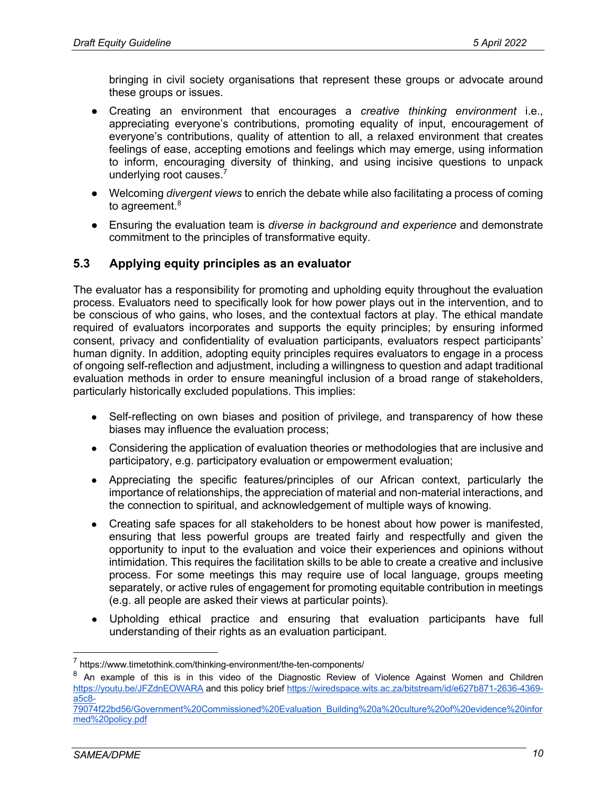bringing in civil society organisations that represent these groups or advocate around these groups or issues.

- Creating an environment that encourages a *creative thinking environment* i.e., appreciating everyone's contributions, promoting equality of input, encouragement of everyone's contributions, quality of attention to all, a relaxed environment that creates feelings of ease, accepting emotions and feelings which may emerge, using information to inform, encouraging diversity of thinking, and using incisive questions to unpack underlying root causes.<sup>7</sup>
- Welcoming *divergent views* to enrich the debate while also facilitating a process of coming to agreement.<sup>8</sup>
- Ensuring the evaluation team is *diverse in background and experience* and demonstrate commitment to the principles of transformative equity.

### **5.3 Applying equity principles as an evaluator**

The evaluator has a responsibility for promoting and upholding equity throughout the evaluation process. Evaluators need to specifically look for how power plays out in the intervention, and to be conscious of who gains, who loses, and the contextual factors at play. The ethical mandate required of evaluators incorporates and supports the equity principles; by ensuring informed consent, privacy and confidentiality of evaluation participants, evaluators respect participants' human dignity. In addition, adopting equity principles requires evaluators to engage in a process of ongoing self-reflection and adjustment, including a willingness to question and adapt traditional evaluation methods in order to ensure meaningful inclusion of a broad range of stakeholders, particularly historically excluded populations. This implies:

- Self-reflecting on own biases and position of privilege, and transparency of how these biases may influence the evaluation process;
- Considering the application of evaluation theories or methodologies that are inclusive and participatory, e.g. participatory evaluation or empowerment evaluation;
- Appreciating the specific features/principles of our African context, particularly the importance of relationships, the appreciation of material and non-material interactions, and the connection to spiritual, and acknowledgement of multiple ways of knowing.
- Creating safe spaces for all stakeholders to be honest about how power is manifested, ensuring that less powerful groups are treated fairly and respectfully and given the opportunity to input to the evaluation and voice their experiences and opinions without intimidation. This requires the facilitation skills to be able to create a creative and inclusive process. For some meetings this may require use of local language, groups meeting separately, or active rules of engagement for promoting equitable contribution in meetings (e.g. all people are asked their views at particular points).
- Upholding ethical practice and ensuring that evaluation participants have full understanding of their rights as an evaluation participant.

<sup>7</sup> https://www.timetothink.com/thinking-environment/the-ten-components/

<sup>&</sup>lt;sup>8</sup> An example of this is in this video of the Diagnostic Review of Violence Against Women and Children https://youtu.be/JFZdnEOWARA and this policy brief https://wiredspace.wits.ac.za/bitstream/id/e627b871-2636-4369 a5c8-

<sup>79074</sup>f22bd56/Government%20Commissioned%20Evaluation\_Building%20a%20culture%20of%20evidence%20infor med%20policy.pdf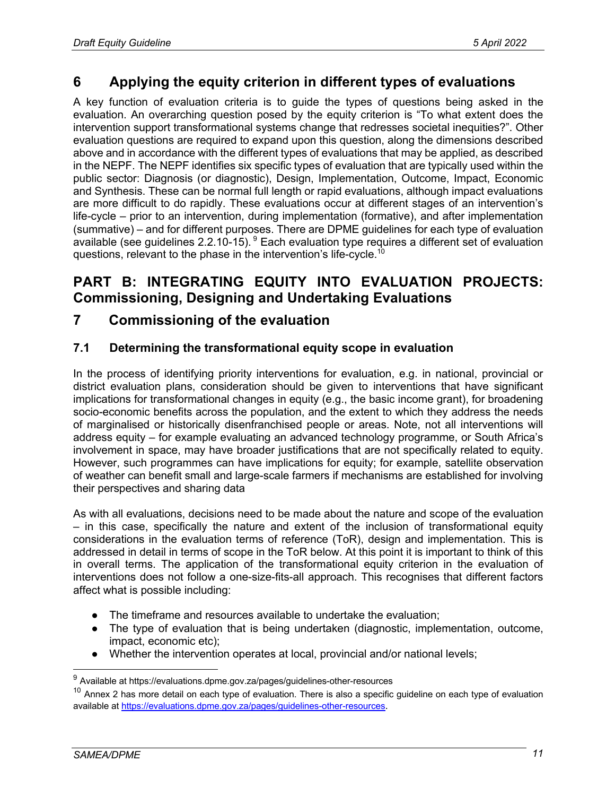## **6 Applying the equity criterion in different types of evaluations**

A key function of evaluation criteria is to guide the types of questions being asked in the evaluation. An overarching question posed by the equity criterion is "To what extent does the intervention support transformational systems change that redresses societal inequities?". Other evaluation questions are required to expand upon this question, along the dimensions described above and in accordance with the different types of evaluations that may be applied, as described in the NEPF. The NEPF identifies six specific types of evaluation that are typically used within the public sector: Diagnosis (or diagnostic), Design, Implementation, Outcome, Impact, Economic and Synthesis. These can be normal full length or rapid evaluations, although impact evaluations are more difficult to do rapidly. These evaluations occur at different stages of an intervention's life-cycle – prior to an intervention, during implementation (formative), and after implementation (summative) – and for different purposes. There are DPME guidelines for each type of evaluation available (see guidelines 2.2.10-15).  $9$  Each evaluation type requires a different set of evaluation questions, relevant to the phase in the intervention's life-cycle.10

## **PART B: INTEGRATING EQUITY INTO EVALUATION PROJECTS: Commissioning, Designing and Undertaking Evaluations**

## **7 Commissioning of the evaluation**

## **7.1 Determining the transformational equity scope in evaluation**

In the process of identifying priority interventions for evaluation, e.g. in national, provincial or district evaluation plans, consideration should be given to interventions that have significant implications for transformational changes in equity (e.g., the basic income grant), for broadening socio-economic benefits across the population, and the extent to which they address the needs of marginalised or historically disenfranchised people or areas. Note, not all interventions will address equity – for example evaluating an advanced technology programme, or South Africa's involvement in space, may have broader justifications that are not specifically related to equity. However, such programmes can have implications for equity; for example, satellite observation of weather can benefit small and large-scale farmers if mechanisms are established for involving their perspectives and sharing data

As with all evaluations, decisions need to be made about the nature and scope of the evaluation – in this case, specifically the nature and extent of the inclusion of transformational equity considerations in the evaluation terms of reference (ToR), design and implementation. This is addressed in detail in terms of scope in the ToR below. At this point it is important to think of this in overall terms. The application of the transformational equity criterion in the evaluation of interventions does not follow a one-size-fits-all approach. This recognises that different factors affect what is possible including:

- The timeframe and resources available to undertake the evaluation;
- The type of evaluation that is being undertaken (diagnostic, implementation, outcome, impact, economic etc);
- Whether the intervention operates at local, provincial and/or national levels;

<sup>9</sup> Available at https://evaluations.dpme.gov.za/pages/guidelines-other-resources

 $10$  Annex 2 has more detail on each type of evaluation. There is also a specific guideline on each type of evaluation available at https://evaluations.dpme.gov.za/pages/guidelines-other-resources.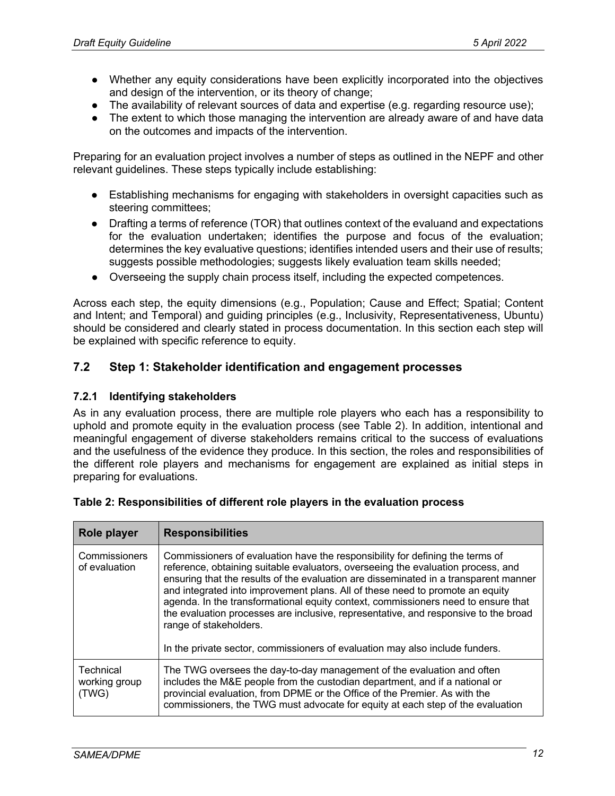- Whether any equity considerations have been explicitly incorporated into the objectives and design of the intervention, or its theory of change;
- The availability of relevant sources of data and expertise (e.g. regarding resource use);
- The extent to which those managing the intervention are already aware of and have data on the outcomes and impacts of the intervention.

Preparing for an evaluation project involves a number of steps as outlined in the NEPF and other relevant guidelines. These steps typically include establishing:

- Establishing mechanisms for engaging with stakeholders in oversight capacities such as steering committees;
- Drafting a terms of reference (TOR) that outlines context of the evaluand and expectations for the evaluation undertaken; identifies the purpose and focus of the evaluation; determines the key evaluative questions; identifies intended users and their use of results; suggests possible methodologies; suggests likely evaluation team skills needed;
- Overseeing the supply chain process itself, including the expected competences.

Across each step, the equity dimensions (e.g., Population; Cause and Effect; Spatial; Content and Intent; and Temporal) and guiding principles (e.g., Inclusivity, Representativeness, Ubuntu) should be considered and clearly stated in process documentation. In this section each step will be explained with specific reference to equity.

### **7.2 Step 1: Stakeholder identification and engagement processes**

#### **7.2.1 Identifying stakeholders**

As in any evaluation process, there are multiple role players who each has a responsibility to uphold and promote equity in the evaluation process (see Table 2). In addition, intentional and meaningful engagement of diverse stakeholders remains critical to the success of evaluations and the usefulness of the evidence they produce. In this section, the roles and responsibilities of the different role players and mechanisms for engagement are explained as initial steps in preparing for evaluations.

| Role player                         | <b>Responsibilities</b>                                                                                                                                                                                                                                                                                                                                                                                                                                                                                                                          |
|-------------------------------------|--------------------------------------------------------------------------------------------------------------------------------------------------------------------------------------------------------------------------------------------------------------------------------------------------------------------------------------------------------------------------------------------------------------------------------------------------------------------------------------------------------------------------------------------------|
| Commissioners<br>of evaluation      | Commissioners of evaluation have the responsibility for defining the terms of<br>reference, obtaining suitable evaluators, overseeing the evaluation process, and<br>ensuring that the results of the evaluation are disseminated in a transparent manner<br>and integrated into improvement plans. All of these need to promote an equity<br>agenda. In the transformational equity context, commissioners need to ensure that<br>the evaluation processes are inclusive, representative, and responsive to the broad<br>range of stakeholders. |
|                                     | In the private sector, commissioners of evaluation may also include funders.                                                                                                                                                                                                                                                                                                                                                                                                                                                                     |
| Technical<br>working group<br>(TWG) | The TWG oversees the day-to-day management of the evaluation and often<br>includes the M&E people from the custodian department, and if a national or<br>provincial evaluation, from DPME or the Office of the Premier. As with the<br>commissioners, the TWG must advocate for equity at each step of the evaluation                                                                                                                                                                                                                            |

|  |  |  | Table 2: Responsibilities of different role players in the evaluation process |
|--|--|--|-------------------------------------------------------------------------------|
|--|--|--|-------------------------------------------------------------------------------|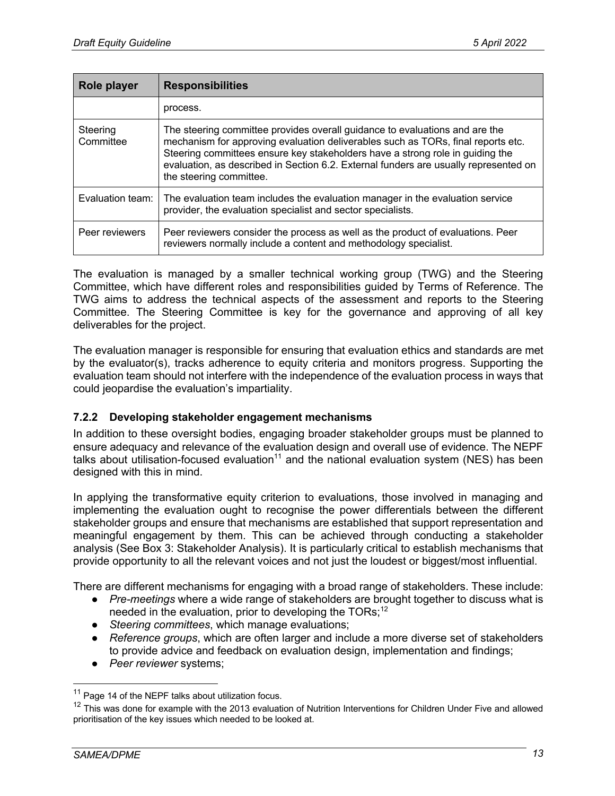| Role player           | <b>Responsibilities</b>                                                                                                                                                                                                                                                                                                                                             |  |
|-----------------------|---------------------------------------------------------------------------------------------------------------------------------------------------------------------------------------------------------------------------------------------------------------------------------------------------------------------------------------------------------------------|--|
|                       | process.                                                                                                                                                                                                                                                                                                                                                            |  |
| Steering<br>Committee | The steering committee provides overall guidance to evaluations and are the<br>mechanism for approving evaluation deliverables such as TORs, final reports etc.<br>Steering committees ensure key stakeholders have a strong role in guiding the<br>evaluation, as described in Section 6.2. External funders are usually represented on<br>the steering committee. |  |
| Evaluation team:      | The evaluation team includes the evaluation manager in the evaluation service<br>provider, the evaluation specialist and sector specialists.                                                                                                                                                                                                                        |  |
| Peer reviewers        | Peer reviewers consider the process as well as the product of evaluations. Peer<br>reviewers normally include a content and methodology specialist.                                                                                                                                                                                                                 |  |

The evaluation is managed by a smaller technical working group (TWG) and the Steering Committee, which have different roles and responsibilities guided by Terms of Reference. The TWG aims to address the technical aspects of the assessment and reports to the Steering Committee. The Steering Committee is key for the governance and approving of all key deliverables for the project.

The evaluation manager is responsible for ensuring that evaluation ethics and standards are met by the evaluator(s), tracks adherence to equity criteria and monitors progress. Supporting the evaluation team should not interfere with the independence of the evaluation process in ways that could jeopardise the evaluation's impartiality.

### **7.2.2 Developing stakeholder engagement mechanisms**

In addition to these oversight bodies, engaging broader stakeholder groups must be planned to ensure adequacy and relevance of the evaluation design and overall use of evidence. The NEPF talks about utilisation-focused evaluation<sup>11</sup> and the national evaluation system (NES) has been designed with this in mind.

In applying the transformative equity criterion to evaluations, those involved in managing and implementing the evaluation ought to recognise the power differentials between the different stakeholder groups and ensure that mechanisms are established that support representation and meaningful engagement by them. This can be achieved through conducting a stakeholder analysis (See Box 3: Stakeholder Analysis). It is particularly critical to establish mechanisms that provide opportunity to all the relevant voices and not just the loudest or biggest/most influential.

There are different mechanisms for engaging with a broad range of stakeholders. These include:

- *Pre-meetings* where a wide range of stakeholders are brought together to discuss what is needed in the evaluation, prior to developing the  $TORs$ ;<sup>12</sup>
- *Steering committees*, which manage evaluations;
- *Reference groups*, which are often larger and include a more diverse set of stakeholders to provide advice and feedback on evaluation design, implementation and findings;
- *Peer reviewer* systems;

<sup>&</sup>lt;sup>11</sup> Page 14 of the NEPF talks about utilization focus.

 $12$  This was done for example with the 2013 evaluation of Nutrition Interventions for Children Under Five and allowed prioritisation of the key issues which needed to be looked at.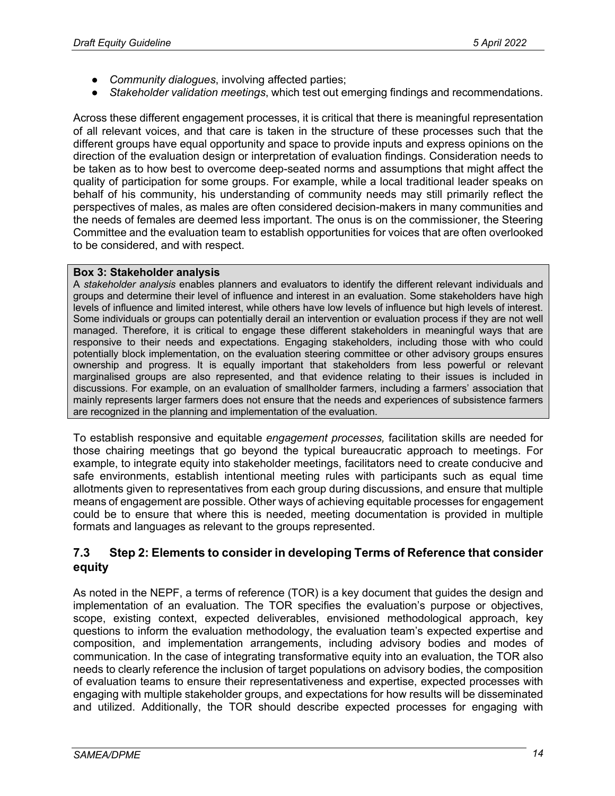- *Community dialogues*, involving affected parties;
- *Stakeholder validation meetings*, which test out emerging findings and recommendations.

Across these different engagement processes, it is critical that there is meaningful representation of all relevant voices, and that care is taken in the structure of these processes such that the different groups have equal opportunity and space to provide inputs and express opinions on the direction of the evaluation design or interpretation of evaluation findings. Consideration needs to be taken as to how best to overcome deep-seated norms and assumptions that might affect the quality of participation for some groups. For example, while a local traditional leader speaks on behalf of his community, his understanding of community needs may still primarily reflect the perspectives of males, as males are often considered decision-makers in many communities and the needs of females are deemed less important. The onus is on the commissioner, the Steering Committee and the evaluation team to establish opportunities for voices that are often overlooked to be considered, and with respect.

#### **Box 3: Stakeholder analysis**

A *stakeholder analysis* enables planners and evaluators to identify the different relevant individuals and groups and determine their level of influence and interest in an evaluation. Some stakeholders have high levels of influence and limited interest, while others have low levels of influence but high levels of interest. Some individuals or groups can potentially derail an intervention or evaluation process if they are not well managed. Therefore, it is critical to engage these different stakeholders in meaningful ways that are responsive to their needs and expectations. Engaging stakeholders, including those with who could potentially block implementation, on the evaluation steering committee or other advisory groups ensures ownership and progress. It is equally important that stakeholders from less powerful or relevant marginalised groups are also represented, and that evidence relating to their issues is included in discussions. For example, on an evaluation of smallholder farmers, including a farmers' association that mainly represents larger farmers does not ensure that the needs and experiences of subsistence farmers are recognized in the planning and implementation of the evaluation.

To establish responsive and equitable *engagement processes,* facilitation skills are needed for those chairing meetings that go beyond the typical bureaucratic approach to meetings. For example, to integrate equity into stakeholder meetings, facilitators need to create conducive and safe environments, establish intentional meeting rules with participants such as equal time allotments given to representatives from each group during discussions, and ensure that multiple means of engagement are possible. Other ways of achieving equitable processes for engagement could be to ensure that where this is needed, meeting documentation is provided in multiple formats and languages as relevant to the groups represented.

### **7.3 Step 2: Elements to consider in developing Terms of Reference that consider equity**

As noted in the NEPF, a terms of reference (TOR) is a key document that guides the design and implementation of an evaluation. The TOR specifies the evaluation's purpose or objectives, scope, existing context, expected deliverables, envisioned methodological approach, key questions to inform the evaluation methodology, the evaluation team's expected expertise and composition, and implementation arrangements, including advisory bodies and modes of communication. In the case of integrating transformative equity into an evaluation, the TOR also needs to clearly reference the inclusion of target populations on advisory bodies, the composition of evaluation teams to ensure their representativeness and expertise, expected processes with engaging with multiple stakeholder groups, and expectations for how results will be disseminated and utilized. Additionally, the TOR should describe expected processes for engaging with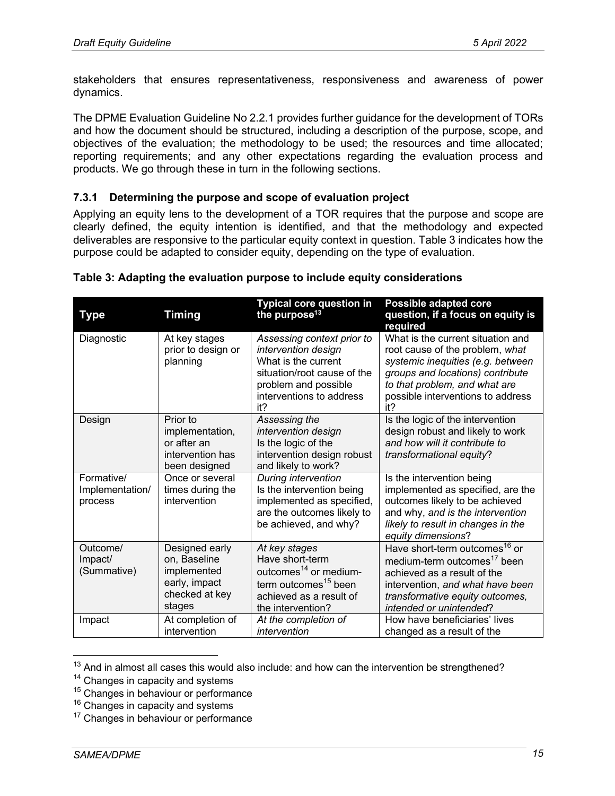stakeholders that ensures representativeness, responsiveness and awareness of power dynamics.

The DPME Evaluation Guideline No 2.2.1 provides further guidance for the development of TORs and how the document should be structured, including a description of the purpose, scope, and objectives of the evaluation; the methodology to be used; the resources and time allocated; reporting requirements; and any other expectations regarding the evaluation process and products. We go through these in turn in the following sections.

#### **7.3.1 Determining the purpose and scope of evaluation project**

Applying an equity lens to the development of a TOR requires that the purpose and scope are clearly defined, the equity intention is identified, and that the methodology and expected deliverables are responsive to the particular equity context in question. Table 3 indicates how the purpose could be adapted to consider equity, depending on the type of evaluation.

| Type                                     | <b>Timing</b>                                                                              | <b>Typical core question in</b><br>the purpose <sup>13</sup>                                                                                                       | <b>Possible adapted core</b><br>question, if a focus on equity is<br>required                                                                                                                                              |
|------------------------------------------|--------------------------------------------------------------------------------------------|--------------------------------------------------------------------------------------------------------------------------------------------------------------------|----------------------------------------------------------------------------------------------------------------------------------------------------------------------------------------------------------------------------|
| Diagnostic                               | At key stages<br>prior to design or<br>planning                                            | Assessing context prior to<br>intervention design<br>What is the current<br>situation/root cause of the<br>problem and possible<br>interventions to address<br>it? | What is the current situation and<br>root cause of the problem, what<br>systemic inequities (e.g. between<br>groups and locations) contribute<br>to that problem, and what are<br>possible interventions to address<br>it? |
| Design                                   | Prior to<br>implementation,<br>or after an<br>intervention has<br>been designed            | Assessing the<br>intervention design<br>Is the logic of the<br>intervention design robust<br>and likely to work?                                                   | Is the logic of the intervention<br>design robust and likely to work<br>and how will it contribute to<br>transformational equity?                                                                                          |
| Formative/<br>Implementation/<br>process | Once or several<br>times during the<br>intervention                                        | During intervention<br>Is the intervention being<br>implemented as specified,<br>are the outcomes likely to<br>be achieved, and why?                               | Is the intervention being<br>implemented as specified, are the<br>outcomes likely to be achieved<br>and why, and is the intervention<br>likely to result in changes in the<br>equity dimensions?                           |
| Outcome/<br>Impact/<br>(Summative)       | Designed early<br>on, Baseline<br>implemented<br>early, impact<br>checked at key<br>stages | At key stages<br>Have short-term<br>outcomes <sup>14</sup> or medium-<br>term outcomes <sup>15</sup> been<br>achieved as a result of<br>the intervention?          | Have short-term outcomes <sup>16</sup> or<br>medium-term outcomes <sup>17</sup> been<br>achieved as a result of the<br>intervention, and what have been<br>transformative equity outcomes,<br>intended or unintended?      |
| Impact                                   | At completion of<br>intervention                                                           | At the completion of<br>intervention                                                                                                                               | How have beneficiaries' lives<br>changed as a result of the                                                                                                                                                                |

#### **Table 3: Adapting the evaluation purpose to include equity considerations**

 $13$  And in almost all cases this would also include: and how can the intervention be strengthened?

<sup>&</sup>lt;sup>14</sup> Changes in capacity and systems

<sup>&</sup>lt;sup>15</sup> Changes in behaviour or performance

<sup>&</sup>lt;sup>16</sup> Changes in capacity and systems

 $17$  Changes in behaviour or performance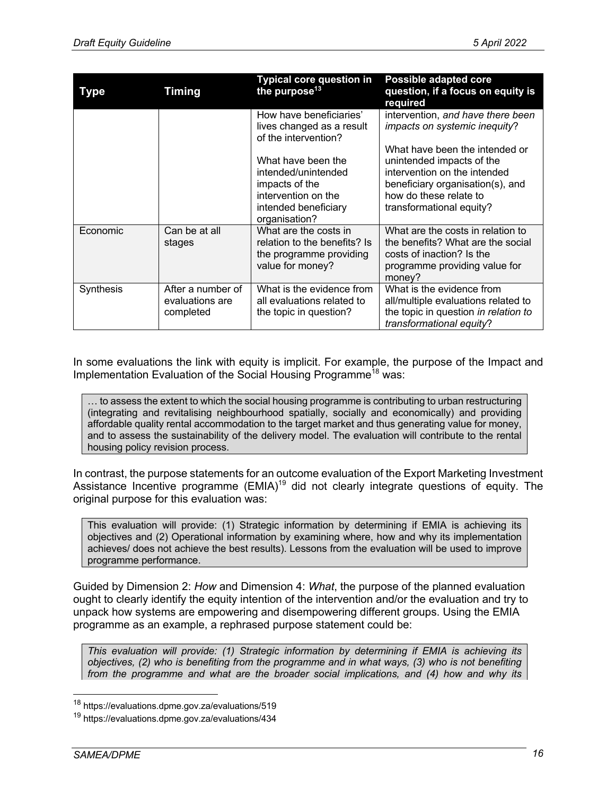| Type      | <b>Timing</b>                                     | <b>Typical core question in</b><br>the purpose <sup>13</sup>                                                                | <b>Possible adapted core</b><br>question, if a focus on equity is<br>required                                                                                                         |
|-----------|---------------------------------------------------|-----------------------------------------------------------------------------------------------------------------------------|---------------------------------------------------------------------------------------------------------------------------------------------------------------------------------------|
|           |                                                   | How have beneficiaries'<br>lives changed as a result<br>of the intervention?                                                | intervention, and have there been<br>impacts on systemic inequity?                                                                                                                    |
|           |                                                   | What have been the<br>intended/unintended<br>impacts of the<br>intervention on the<br>intended beneficiary<br>organisation? | What have been the intended or<br>unintended impacts of the<br>intervention on the intended<br>beneficiary organisation(s), and<br>how do these relate to<br>transformational equity? |
| Economic  | Can be at all<br>stages                           | What are the costs in<br>relation to the benefits? Is<br>the programme providing<br>value for money?                        | What are the costs in relation to<br>the benefits? What are the social<br>costs of inaction? Is the<br>programme providing value for<br>money?                                        |
| Synthesis | After a number of<br>evaluations are<br>completed | What is the evidence from<br>all evaluations related to<br>the topic in question?                                           | What is the evidence from<br>all/multiple evaluations related to<br>the topic in question in relation to<br>transformational equity?                                                  |

In some evaluations the link with equity is implicit. For example, the purpose of the Impact and Implementation Evaluation of the Social Housing Programme<sup>18</sup> was:

… to assess the extent to which the social housing programme is contributing to urban restructuring (integrating and revitalising neighbourhood spatially, socially and economically) and providing affordable quality rental accommodation to the target market and thus generating value for money, and to assess the sustainability of the delivery model. The evaluation will contribute to the rental housing policy revision process.

In contrast, the purpose statements for an outcome evaluation of the Export Marketing Investment Assistance Incentive programme  $(EMIA)^{19}$  did not clearly integrate questions of equity. The original purpose for this evaluation was:

This evaluation will provide: (1) Strategic information by determining if EMIA is achieving its objectives and (2) Operational information by examining where, how and why its implementation achieves/ does not achieve the best results). Lessons from the evaluation will be used to improve programme performance.

Guided by Dimension 2: *How* and Dimension 4: *What*, the purpose of the planned evaluation ought to clearly identify the equity intention of the intervention and/or the evaluation and try to unpack how systems are empowering and disempowering different groups. Using the EMIA programme as an example, a rephrased purpose statement could be:

*This evaluation will provide: (1) Strategic information by determining if EMIA is achieving its objectives, (2) who is benefiting from the programme and in what ways, (3) who is not benefiting from the programme and what are the broader social implications, and (4) how and why its* 

<sup>&</sup>lt;sup>18</sup> https://evaluations.dpme.gov.za/evaluations/519

<sup>&</sup>lt;sup>19</sup> https://evaluations.dpme.gov.za/evaluations/434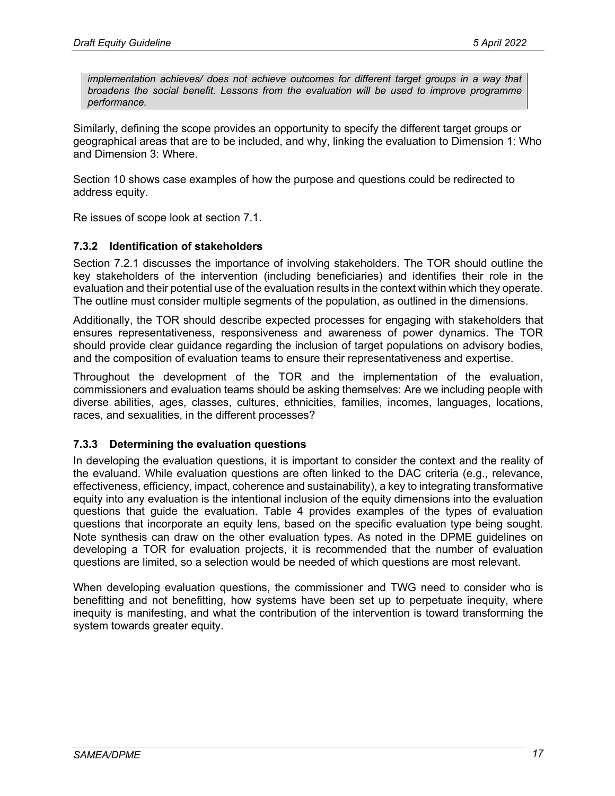*implementation achieves/ does not achieve outcomes for different target groups in a way that broadens the social benefit. Lessons from the evaluation will be used to improve programme performance.*

Similarly, defining the scope provides an opportunity to specify the different target groups or geographical areas that are to be included, and why, linking the evaluation to Dimension 1: Who and Dimension 3: Where.

Section 10 shows case examples of how the purpose and questions could be redirected to address equity.

Re issues of scope look at section 7.1.

#### **7.3.2 Identification of stakeholders**

Section 7.2.1 discusses the importance of involving stakeholders. The TOR should outline the key stakeholders of the intervention (including beneficiaries) and identifies their role in the evaluation and their potential use of the evaluation results in the context within which they operate. The outline must consider multiple segments of the population, as outlined in the dimensions.

Additionally, the TOR should describe expected processes for engaging with stakeholders that ensures representativeness, responsiveness and awareness of power dynamics. The TOR should provide clear guidance regarding the inclusion of target populations on advisory bodies, and the composition of evaluation teams to ensure their representativeness and expertise.

Throughout the development of the TOR and the implementation of the evaluation, commissioners and evaluation teams should be asking themselves: Are we including people with diverse abilities, ages, classes, cultures, ethnicities, families, incomes, languages, locations, races, and sexualities, in the different processes?

#### **7.3.3 Determining the evaluation questions**

In developing the evaluation questions, it is important to consider the context and the reality of the evaluand. While evaluation questions are often linked to the DAC criteria (e.g., relevance, effectiveness, efficiency, impact, coherence and sustainability), a key to integrating transformative equity into any evaluation is the intentional inclusion of the equity dimensions into the evaluation questions that guide the evaluation. Table 4 provides examples of the types of evaluation questions that incorporate an equity lens, based on the specific evaluation type being sought. Note synthesis can draw on the other evaluation types. As noted in the DPME guidelines on developing a TOR for evaluation projects, it is recommended that the number of evaluation questions are limited, so a selection would be needed of which questions are most relevant.

When developing evaluation questions, the commissioner and TWG need to consider who is benefitting and not benefitting, how systems have been set up to perpetuate inequity, where inequity is manifesting, and what the contribution of the intervention is toward transforming the system towards greater equity.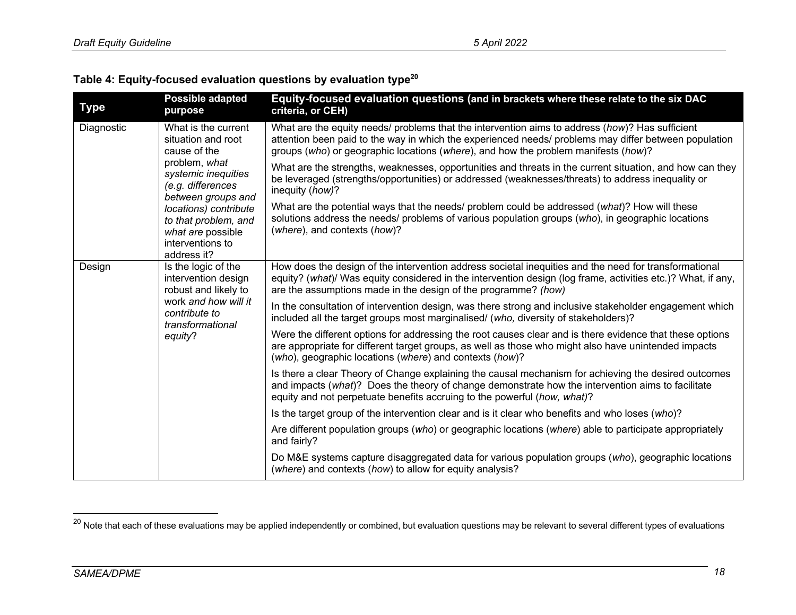| Table 4: Equity-focused evaluation questions by evaluation type $^{\mathsf{20}}$ |  |  |  |  |  |  |  |
|----------------------------------------------------------------------------------|--|--|--|--|--|--|--|
|----------------------------------------------------------------------------------|--|--|--|--|--|--|--|

| <b>Type</b> | <b>Possible adapted</b><br>purpose                                                                                                         | Equity-focused evaluation questions (and in brackets where these relate to the six DAC<br>criteria, or CEH)                                                                                                                                                                                    |
|-------------|--------------------------------------------------------------------------------------------------------------------------------------------|------------------------------------------------------------------------------------------------------------------------------------------------------------------------------------------------------------------------------------------------------------------------------------------------|
| Diagnostic  | What is the current<br>situation and root<br>cause of the                                                                                  | What are the equity needs/ problems that the intervention aims to address (how)? Has sufficient<br>attention been paid to the way in which the experienced needs/ problems may differ between population<br>groups (who) or geographic locations (where), and how the problem manifests (how)? |
|             | problem, what<br>systemic inequities<br>(e.g. differences<br>between groups and                                                            | What are the strengths, weaknesses, opportunities and threats in the current situation, and how can they<br>be leveraged (strengths/opportunities) or addressed (weaknesses/threats) to address inequality or<br>inequity (how)?                                                               |
|             | locations) contribute<br>to that problem, and<br>what are possible<br>interventions to<br>address it?                                      | What are the potential ways that the needs/ problem could be addressed (what)? How will these<br>solutions address the needs/ problems of various population groups (who), in geographic locations<br>(where), and contexts (how)?                                                             |
| Design      | Is the logic of the<br>intervention design<br>robust and likely to<br>work and how will it<br>contribute to<br>transformational<br>equity? | How does the design of the intervention address societal inequities and the need for transformational<br>equity? (what)/ Was equity considered in the intervention design (log frame, activities etc.)? What, if any,<br>are the assumptions made in the design of the programme? (how)        |
|             |                                                                                                                                            | In the consultation of intervention design, was there strong and inclusive stakeholder engagement which<br>included all the target groups most marginalised/ (who, diversity of stakeholders)?                                                                                                 |
|             |                                                                                                                                            | Were the different options for addressing the root causes clear and is there evidence that these options<br>are appropriate for different target groups, as well as those who might also have unintended impacts<br>(who), geographic locations (where) and contexts (how)?                    |
|             |                                                                                                                                            | Is there a clear Theory of Change explaining the causal mechanism for achieving the desired outcomes<br>and impacts (what)? Does the theory of change demonstrate how the intervention aims to facilitate<br>equity and not perpetuate benefits accruing to the powerful (how, what)?          |
|             |                                                                                                                                            | Is the target group of the intervention clear and is it clear who benefits and who loses (who)?                                                                                                                                                                                                |
|             |                                                                                                                                            | Are different population groups (who) or geographic locations (where) able to participate appropriately<br>and fairly?                                                                                                                                                                         |
|             |                                                                                                                                            | Do M&E systems capture disaggregated data for various population groups (who), geographic locations<br>(where) and contexts (how) to allow for equity analysis?                                                                                                                                |

<sup>&</sup>lt;sup>20</sup> Note that each of these evaluations may be applied independently or combined, but evaluation questions may be relevant to several different types of evaluations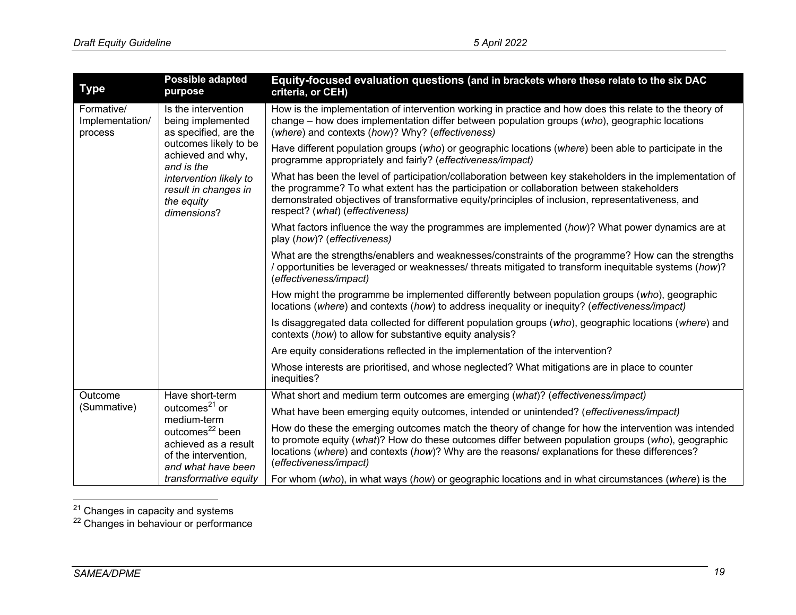| <b>Type</b>                              | <b>Possible adapted</b><br>purpose                                                                                                            | Equity-focused evaluation questions (and in brackets where these relate to the six DAC<br>criteria, or CEH)                                                                                                                                                                                                                                   |
|------------------------------------------|-----------------------------------------------------------------------------------------------------------------------------------------------|-----------------------------------------------------------------------------------------------------------------------------------------------------------------------------------------------------------------------------------------------------------------------------------------------------------------------------------------------|
| Formative/<br>Implementation/<br>process | Is the intervention<br>being implemented<br>as specified, are the                                                                             | How is the implementation of intervention working in practice and how does this relate to the theory of<br>change – how does implementation differ between population groups (who), geographic locations<br>(where) and contexts (how)? Why? (effectiveness)                                                                                  |
|                                          | outcomes likely to be<br>achieved and why,<br>and is the                                                                                      | Have different population groups (who) or geographic locations (where) been able to participate in the<br>programme appropriately and fairly? (effectiveness/impact)                                                                                                                                                                          |
|                                          | intervention likely to<br>result in changes in<br>the equity<br>dimensions?                                                                   | What has been the level of participation/collaboration between key stakeholders in the implementation of<br>the programme? To what extent has the participation or collaboration between stakeholders<br>demonstrated objectives of transformative equity/principles of inclusion, representativeness, and<br>respect? (what) (effectiveness) |
|                                          |                                                                                                                                               | What factors influence the way the programmes are implemented (how)? What power dynamics are at<br>play (how)? (effectiveness)                                                                                                                                                                                                                |
|                                          |                                                                                                                                               | What are the strengths/enablers and weaknesses/constraints of the programme? How can the strengths<br>/ opportunities be leveraged or weaknesses/ threats mitigated to transform inequitable systems (how)?<br>(effectiveness/impact)                                                                                                         |
|                                          |                                                                                                                                               | How might the programme be implemented differently between population groups (who), geographic<br>locations (where) and contexts (how) to address inequality or inequity? (effectiveness/impact)                                                                                                                                              |
|                                          |                                                                                                                                               | Is disaggregated data collected for different population groups (who), geographic locations (where) and<br>contexts (how) to allow for substantive equity analysis?                                                                                                                                                                           |
|                                          |                                                                                                                                               | Are equity considerations reflected in the implementation of the intervention?                                                                                                                                                                                                                                                                |
|                                          |                                                                                                                                               | Whose interests are prioritised, and whose neglected? What mitigations are in place to counter<br>inequities?                                                                                                                                                                                                                                 |
| Outcome<br>(Summative)                   | Have short-term                                                                                                                               | What short and medium term outcomes are emerging (what)? (effectiveness/impact)                                                                                                                                                                                                                                                               |
|                                          | outcomes <sup>21</sup> or<br>medium-term<br>outcomes <sup>22</sup> been<br>achieved as a result<br>of the intervention,<br>and what have been | What have been emerging equity outcomes, intended or unintended? (effectiveness/impact)                                                                                                                                                                                                                                                       |
|                                          |                                                                                                                                               | How do these the emerging outcomes match the theory of change for how the intervention was intended<br>to promote equity (what)? How do these outcomes differ between population groups (who), geographic<br>locations (where) and contexts (how)? Why are the reasons/ explanations for these differences?<br>(effectiveness/impact)         |
|                                          | transformative equity                                                                                                                         | For whom (who), in what ways (how) or geographic locations and in what circumstances (where) is the                                                                                                                                                                                                                                           |

<sup>&</sup>lt;sup>21</sup> Changes in capacity and systems

<sup>&</sup>lt;sup>22</sup> Changes in behaviour or performance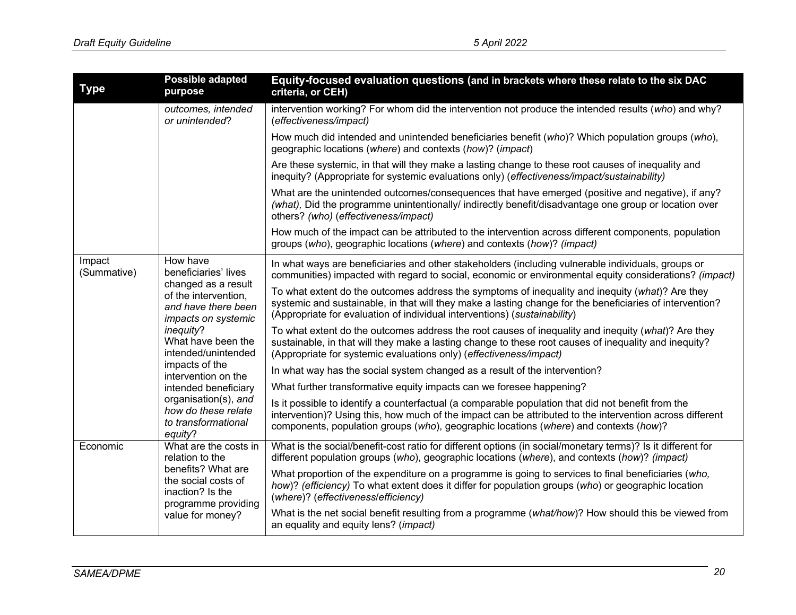| <b>Type</b>           | <b>Possible adapted</b><br>purpose                                                                                                                                                      | Equity-focused evaluation questions (and in brackets where these relate to the six DAC<br>criteria, or CEH)                                                                                                                                                                                             |
|-----------------------|-----------------------------------------------------------------------------------------------------------------------------------------------------------------------------------------|---------------------------------------------------------------------------------------------------------------------------------------------------------------------------------------------------------------------------------------------------------------------------------------------------------|
|                       | outcomes, intended<br>or unintended?                                                                                                                                                    | intervention working? For whom did the intervention not produce the intended results (who) and why?<br>(effectiveness/impact)                                                                                                                                                                           |
|                       |                                                                                                                                                                                         | How much did intended and unintended beneficiaries benefit (who)? Which population groups (who),<br>geographic locations (where) and contexts (how)? (impact)                                                                                                                                           |
|                       |                                                                                                                                                                                         | Are these systemic, in that will they make a lasting change to these root causes of inequality and<br>inequity? (Appropriate for systemic evaluations only) (effectiveness/impact/sustainability)                                                                                                       |
|                       |                                                                                                                                                                                         | What are the unintended outcomes/consequences that have emerged (positive and negative), if any?<br>(what), Did the programme unintentionally/ indirectly benefit/disadvantage one group or location over<br>others? (who) (effectiveness/impact)                                                       |
|                       |                                                                                                                                                                                         | How much of the impact can be attributed to the intervention across different components, population<br>groups (who), geographic locations (where) and contexts (how)? (impact)                                                                                                                         |
| Impact<br>(Summative) | How have<br>beneficiaries' lives<br>changed as a result<br>of the intervention,<br>and have there been<br>impacts on systemic<br>inequity?<br>What have been the<br>intended/unintended | In what ways are beneficiaries and other stakeholders (including vulnerable individuals, groups or<br>communities) impacted with regard to social, economic or environmental equity considerations? (impact)                                                                                            |
|                       |                                                                                                                                                                                         | To what extent do the outcomes address the symptoms of inequality and inequity (what)? Are they<br>systemic and sustainable, in that will they make a lasting change for the beneficiaries of intervention?<br>(Appropriate for evaluation of individual interventions) (sustainability)                |
|                       |                                                                                                                                                                                         | To what extent do the outcomes address the root causes of inequality and inequity (what)? Are they<br>sustainable, in that will they make a lasting change to these root causes of inequality and inequity?<br>(Appropriate for systemic evaluations only) (effectiveness/impact)                       |
|                       | impacts of the<br>intervention on the                                                                                                                                                   | In what way has the social system changed as a result of the intervention?                                                                                                                                                                                                                              |
|                       | intended beneficiary                                                                                                                                                                    | What further transformative equity impacts can we foresee happening?                                                                                                                                                                                                                                    |
|                       | organisation(s), and<br>how do these relate<br>to transformational<br>equity?                                                                                                           | Is it possible to identify a counterfactual (a comparable population that did not benefit from the<br>intervention)? Using this, how much of the impact can be attributed to the intervention across different<br>components, population groups (who), geographic locations (where) and contexts (how)? |
| Economic              | What are the costs in<br>relation to the<br>benefits? What are<br>the social costs of<br>inaction? Is the<br>programme providing<br>value for money?                                    | What is the social/benefit-cost ratio for different options (in social/monetary terms)? Is it different for<br>different population groups (who), geographic locations (where), and contexts (how)? (impact)                                                                                            |
|                       |                                                                                                                                                                                         | What proportion of the expenditure on a programme is going to services to final beneficiaries (who,<br>how)? (efficiency) To what extent does it differ for population groups (who) or geographic location<br>(where)? (effectiveness/efficiency)                                                       |
|                       |                                                                                                                                                                                         | What is the net social benefit resulting from a programme (what/how)? How should this be viewed from<br>an equality and equity lens? (impact)                                                                                                                                                           |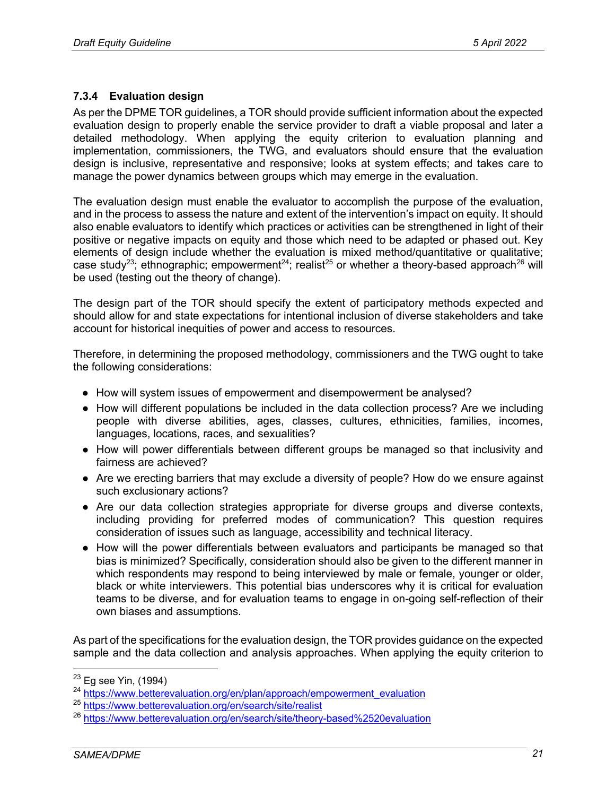### **7.3.4 Evaluation design**

As per the DPME TOR guidelines, a TOR should provide sufficient information about the expected evaluation design to properly enable the service provider to draft a viable proposal and later a detailed methodology. When applying the equity criterion to evaluation planning and implementation, commissioners, the TWG, and evaluators should ensure that the evaluation design is inclusive, representative and responsive; looks at system effects; and takes care to manage the power dynamics between groups which may emerge in the evaluation.

The evaluation design must enable the evaluator to accomplish the purpose of the evaluation, and in the process to assess the nature and extent of the intervention's impact on equity. It should also enable evaluators to identify which practices or activities can be strengthened in light of their positive or negative impacts on equity and those which need to be adapted or phased out. Key elements of design include whether the evaluation is mixed method/quantitative or qualitative; case study<sup>23</sup>; ethnographic; empowerment<sup>24</sup>; realist<sup>25</sup> or whether a theory-based approach<sup>26</sup> will be used (testing out the theory of change).

The design part of the TOR should specify the extent of participatory methods expected and should allow for and state expectations for intentional inclusion of diverse stakeholders and take account for historical inequities of power and access to resources.

Therefore, in determining the proposed methodology, commissioners and the TWG ought to take the following considerations:

- How will system issues of empowerment and disempowerment be analysed?
- How will different populations be included in the data collection process? Are we including people with diverse abilities, ages, classes, cultures, ethnicities, families, incomes, languages, locations, races, and sexualities?
- How will power differentials between different groups be managed so that inclusivity and fairness are achieved?
- Are we erecting barriers that may exclude a diversity of people? How do we ensure against such exclusionary actions?
- Are our data collection strategies appropriate for diverse groups and diverse contexts, including providing for preferred modes of communication? This question requires consideration of issues such as language, accessibility and technical literacy.
- How will the power differentials between evaluators and participants be managed so that bias is minimized? Specifically, consideration should also be given to the different manner in which respondents may respond to being interviewed by male or female, younger or older, black or white interviewers. This potential bias underscores why it is critical for evaluation teams to be diverse, and for evaluation teams to engage in on-going self-reflection of their own biases and assumptions.

As part of the specifications for the evaluation design, the TOR provides guidance on the expected sample and the data collection and analysis approaches. When applying the equity criterion to

 $23$  Eg see Yin, (1994)

<sup>24</sup> https://www.betterevaluation.org/en/plan/approach/empowerment\_evaluation

<sup>25</sup> https://www.betterevaluation.org/en/search/site/realist

<sup>26</sup> https://www.betterevaluation.org/en/search/site/theory-based%2520evaluation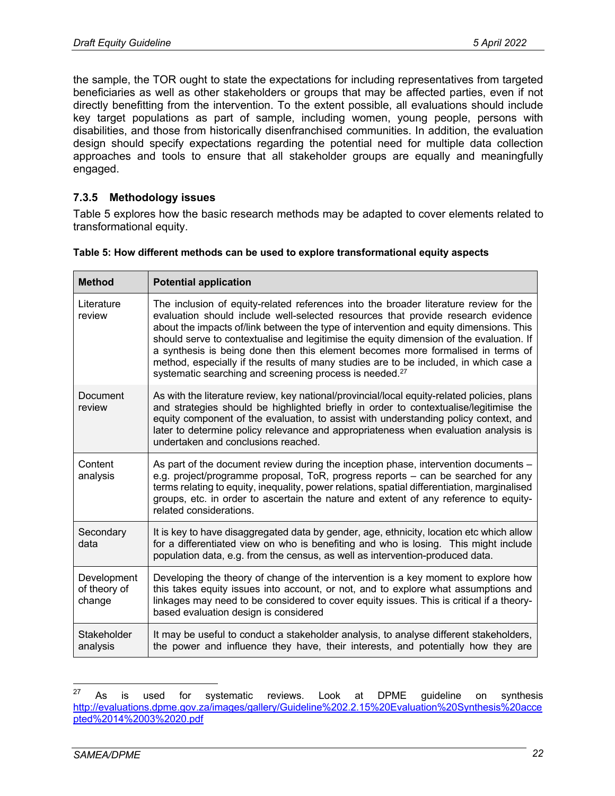the sample, the TOR ought to state the expectations for including representatives from targeted beneficiaries as well as other stakeholders or groups that may be affected parties, even if not directly benefitting from the intervention. To the extent possible, all evaluations should include key target populations as part of sample, including women, young people, persons with disabilities, and those from historically disenfranchised communities. In addition, the evaluation design should specify expectations regarding the potential need for multiple data collection approaches and tools to ensure that all stakeholder groups are equally and meaningfully engaged.

#### **7.3.5 Methodology issues**

Table 5 explores how the basic research methods may be adapted to cover elements related to transformational equity.

| <b>Method</b>                         | <b>Potential application</b>                                                                                                                                                                                                                                                                                                                                                                                                                                                                                                                                                                                      |  |
|---------------------------------------|-------------------------------------------------------------------------------------------------------------------------------------------------------------------------------------------------------------------------------------------------------------------------------------------------------------------------------------------------------------------------------------------------------------------------------------------------------------------------------------------------------------------------------------------------------------------------------------------------------------------|--|
| Literature<br>review                  | The inclusion of equity-related references into the broader literature review for the<br>evaluation should include well-selected resources that provide research evidence<br>about the impacts of/link between the type of intervention and equity dimensions. This<br>should serve to contextualise and legitimise the equity dimension of the evaluation. If<br>a synthesis is being done then this element becomes more formalised in terms of<br>method, especially if the results of many studies are to be included, in which case a<br>systematic searching and screening process is needed. <sup>27</sup> |  |
| Document<br>review                    | As with the literature review, key national/provincial/local equity-related policies, plans<br>and strategies should be highlighted briefly in order to contextualise/legitimise the<br>equity component of the evaluation, to assist with understanding policy context, and<br>later to determine policy relevance and appropriateness when evaluation analysis is<br>undertaken and conclusions reached.                                                                                                                                                                                                        |  |
| Content<br>analysis                   | As part of the document review during the inception phase, intervention documents -<br>e.g. project/programme proposal, ToR, progress reports - can be searched for any<br>terms relating to equity, inequality, power relations, spatial differentiation, marginalised<br>groups, etc. in order to ascertain the nature and extent of any reference to equity-<br>related considerations.                                                                                                                                                                                                                        |  |
| Secondary<br>data                     | It is key to have disaggregated data by gender, age, ethnicity, location etc which allow<br>for a differentiated view on who is benefiting and who is losing. This might include<br>population data, e.g. from the census, as well as intervention-produced data.                                                                                                                                                                                                                                                                                                                                                 |  |
| Development<br>of theory of<br>change | Developing the theory of change of the intervention is a key moment to explore how<br>this takes equity issues into account, or not, and to explore what assumptions and<br>linkages may need to be considered to cover equity issues. This is critical if a theory-<br>based evaluation design is considered                                                                                                                                                                                                                                                                                                     |  |
| Stakeholder<br>analysis               | It may be useful to conduct a stakeholder analysis, to analyse different stakeholders,<br>the power and influence they have, their interests, and potentially how they are                                                                                                                                                                                                                                                                                                                                                                                                                                        |  |

#### **Table 5: How different methods can be used to explore transformational equity aspects**

 $27$  As is used for systematic reviews. Look at DPME guideline on synthesis http://evaluations.dpme.gov.za/images/gallery/Guideline%202.2.15%20Evaluation%20Synthesis%20acce pted%2014%2003%2020.pdf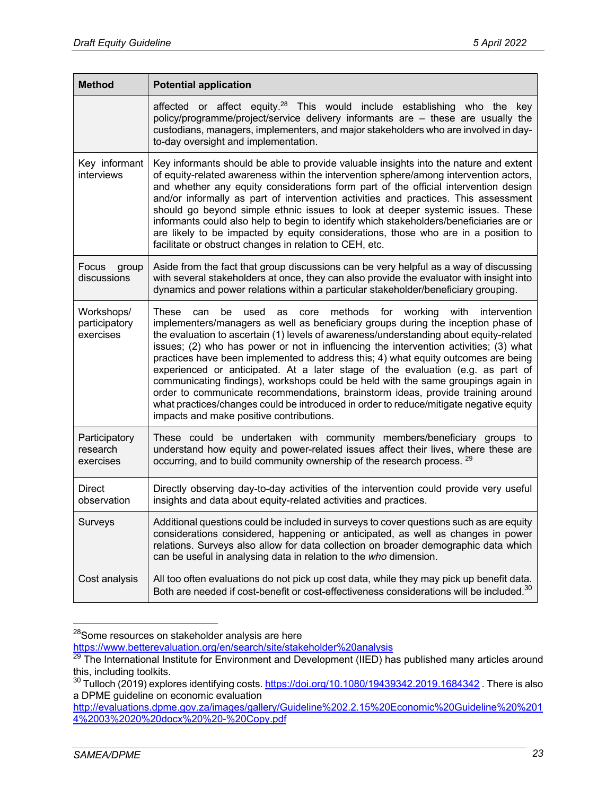| <b>Method</b>                            | <b>Potential application</b>                                                                                                                                                                                                                                                                                                                                                                                                                                                                                                                                                                                                                                                                                                                                                                                                                           |
|------------------------------------------|--------------------------------------------------------------------------------------------------------------------------------------------------------------------------------------------------------------------------------------------------------------------------------------------------------------------------------------------------------------------------------------------------------------------------------------------------------------------------------------------------------------------------------------------------------------------------------------------------------------------------------------------------------------------------------------------------------------------------------------------------------------------------------------------------------------------------------------------------------|
|                                          | affected or affect equity. <sup>28</sup> This would include establishing who the<br>key<br>policy/programme/project/service delivery informants are - these are usually the<br>custodians, managers, implementers, and major stakeholders who are involved in day-<br>to-day oversight and implementation.                                                                                                                                                                                                                                                                                                                                                                                                                                                                                                                                             |
| Key informant<br>interviews              | Key informants should be able to provide valuable insights into the nature and extent<br>of equity-related awareness within the intervention sphere/among intervention actors,<br>and whether any equity considerations form part of the official intervention design<br>and/or informally as part of intervention activities and practices. This assessment<br>should go beyond simple ethnic issues to look at deeper systemic issues. These<br>informants could also help to begin to identify which stakeholders/beneficiaries are or<br>are likely to be impacted by equity considerations, those who are in a position to<br>facilitate or obstruct changes in relation to CEH, etc.                                                                                                                                                             |
| Focus<br>group<br>discussions            | Aside from the fact that group discussions can be very helpful as a way of discussing<br>with several stakeholders at once, they can also provide the evaluator with insight into<br>dynamics and power relations within a particular stakeholder/beneficiary grouping.                                                                                                                                                                                                                                                                                                                                                                                                                                                                                                                                                                                |
| Workshops/<br>participatory<br>exercises | methods for working<br>used<br>with<br>These<br>be<br>as<br>core<br>intervention<br>can<br>implementers/managers as well as beneficiary groups during the inception phase of<br>the evaluation to ascertain (1) levels of awareness/understanding about equity-related<br>issues; (2) who has power or not in influencing the intervention activities; (3) what<br>practices have been implemented to address this; 4) what equity outcomes are being<br>experienced or anticipated. At a later stage of the evaluation (e.g. as part of<br>communicating findings), workshops could be held with the same groupings again in<br>order to communicate recommendations, brainstorm ideas, provide training around<br>what practices/changes could be introduced in order to reduce/mitigate negative equity<br>impacts and make positive contributions. |
| Participatory<br>research<br>exercises   | These could be undertaken with community members/beneficiary groups to<br>understand how equity and power-related issues affect their lives, where these are<br>occurring, and to build community ownership of the research process. <sup>29</sup>                                                                                                                                                                                                                                                                                                                                                                                                                                                                                                                                                                                                     |
| <b>Direct</b><br>observation             | Directly observing day-to-day activities of the intervention could provide very useful<br>insights and data about equity-related activities and practices.                                                                                                                                                                                                                                                                                                                                                                                                                                                                                                                                                                                                                                                                                             |
| Surveys                                  | Additional questions could be included in surveys to cover questions such as are equity<br>considerations considered, happening or anticipated, as well as changes in power<br>relations. Surveys also allow for data collection on broader demographic data which<br>can be useful in analysing data in relation to the who dimension.                                                                                                                                                                                                                                                                                                                                                                                                                                                                                                                |
| Cost analysis                            | All too often evaluations do not pick up cost data, while they may pick up benefit data.<br>Both are needed if cost-benefit or cost-effectiveness considerations will be included. <sup>30</sup>                                                                                                                                                                                                                                                                                                                                                                                                                                                                                                                                                                                                                                                       |

<sup>&</sup>lt;sup>28</sup>Some resources on stakeholder analysis are here

https://www.betterevaluation.org/en/search/site/stakeholder%20analysis

 $^{29}$  The International Institute for Environment and Development (IIED) has published many articles around this, including toolkits.

 $^{30}$  Tulloch (2019) explores identifying costs.  $\frac{\text{https://doi.org/10.1080/19439342.2019.1684342}}{\text{Theo}}$  . There is also a DPME guideline on economic evaluation

http://evaluations.dpme.gov.za/images/gallery/Guideline%202.2.15%20Economic%20Guideline%20%201 4%2003%2020%20docx%20%20-%20Copy.pdf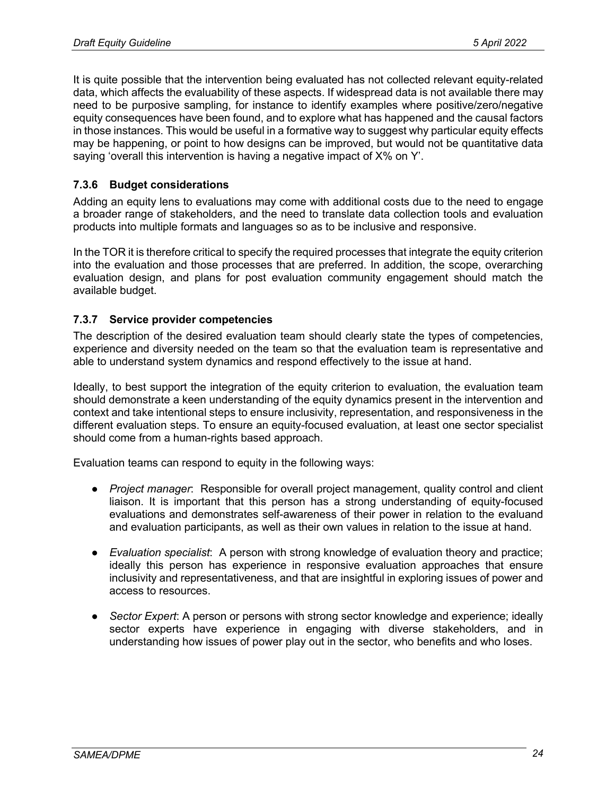It is quite possible that the intervention being evaluated has not collected relevant equity-related data, which affects the evaluability of these aspects. If widespread data is not available there may need to be purposive sampling, for instance to identify examples where positive/zero/negative equity consequences have been found, and to explore what has happened and the causal factors in those instances. This would be useful in a formative way to suggest why particular equity effects may be happening, or point to how designs can be improved, but would not be quantitative data saying 'overall this intervention is having a negative impact of X% on Y'.

#### **7.3.6 Budget considerations**

Adding an equity lens to evaluations may come with additional costs due to the need to engage a broader range of stakeholders, and the need to translate data collection tools and evaluation products into multiple formats and languages so as to be inclusive and responsive.

In the TOR it is therefore critical to specify the required processes that integrate the equity criterion into the evaluation and those processes that are preferred. In addition, the scope, overarching evaluation design, and plans for post evaluation community engagement should match the available budget.

#### **7.3.7 Service provider competencies**

The description of the desired evaluation team should clearly state the types of competencies, experience and diversity needed on the team so that the evaluation team is representative and able to understand system dynamics and respond effectively to the issue at hand.

Ideally, to best support the integration of the equity criterion to evaluation, the evaluation team should demonstrate a keen understanding of the equity dynamics present in the intervention and context and take intentional steps to ensure inclusivity, representation, and responsiveness in the different evaluation steps. To ensure an equity-focused evaluation, at least one sector specialist should come from a human-rights based approach.

Evaluation teams can respond to equity in the following ways:

- *Project manager*: Responsible for overall project management, quality control and client liaison. It is important that this person has a strong understanding of equity-focused evaluations and demonstrates self-awareness of their power in relation to the evaluand and evaluation participants, as well as their own values in relation to the issue at hand.
- *Evaluation specialist*: A person with strong knowledge of evaluation theory and practice; ideally this person has experience in responsive evaluation approaches that ensure inclusivity and representativeness, and that are insightful in exploring issues of power and access to resources.
- *Sector Expert*: A person or persons with strong sector knowledge and experience; ideally sector experts have experience in engaging with diverse stakeholders, and in understanding how issues of power play out in the sector, who benefits and who loses.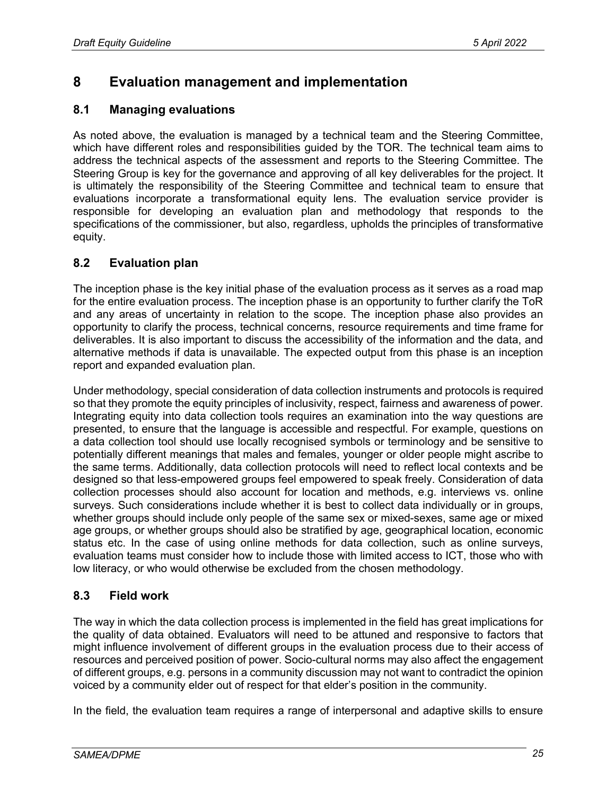## **8 Evaluation management and implementation**

### **8.1 Managing evaluations**

As noted above, the evaluation is managed by a technical team and the Steering Committee, which have different roles and responsibilities guided by the TOR. The technical team aims to address the technical aspects of the assessment and reports to the Steering Committee. The Steering Group is key for the governance and approving of all key deliverables for the project. It is ultimately the responsibility of the Steering Committee and technical team to ensure that evaluations incorporate a transformational equity lens. The evaluation service provider is responsible for developing an evaluation plan and methodology that responds to the specifications of the commissioner, but also, regardless, upholds the principles of transformative equity.

## **8.2 Evaluation plan**

The inception phase is the key initial phase of the evaluation process as it serves as a road map for the entire evaluation process. The inception phase is an opportunity to further clarify the ToR and any areas of uncertainty in relation to the scope. The inception phase also provides an opportunity to clarify the process, technical concerns, resource requirements and time frame for deliverables. It is also important to discuss the accessibility of the information and the data, and alternative methods if data is unavailable. The expected output from this phase is an inception report and expanded evaluation plan.

Under methodology, special consideration of data collection instruments and protocols is required so that they promote the equity principles of inclusivity, respect, fairness and awareness of power. Integrating equity into data collection tools requires an examination into the way questions are presented, to ensure that the language is accessible and respectful. For example, questions on a data collection tool should use locally recognised symbols or terminology and be sensitive to potentially different meanings that males and females, younger or older people might ascribe to the same terms. Additionally, data collection protocols will need to reflect local contexts and be designed so that less-empowered groups feel empowered to speak freely. Consideration of data collection processes should also account for location and methods, e.g. interviews vs. online surveys. Such considerations include whether it is best to collect data individually or in groups, whether groups should include only people of the same sex or mixed-sexes, same age or mixed age groups, or whether groups should also be stratified by age, geographical location, economic status etc. In the case of using online methods for data collection, such as online surveys, evaluation teams must consider how to include those with limited access to ICT, those who with low literacy, or who would otherwise be excluded from the chosen methodology.

### **8.3 Field work**

The way in which the data collection process is implemented in the field has great implications for the quality of data obtained. Evaluators will need to be attuned and responsive to factors that might influence involvement of different groups in the evaluation process due to their access of resources and perceived position of power. Socio-cultural norms may also affect the engagement of different groups, e.g. persons in a community discussion may not want to contradict the opinion voiced by a community elder out of respect for that elder's position in the community.

In the field, the evaluation team requires a range of interpersonal and adaptive skills to ensure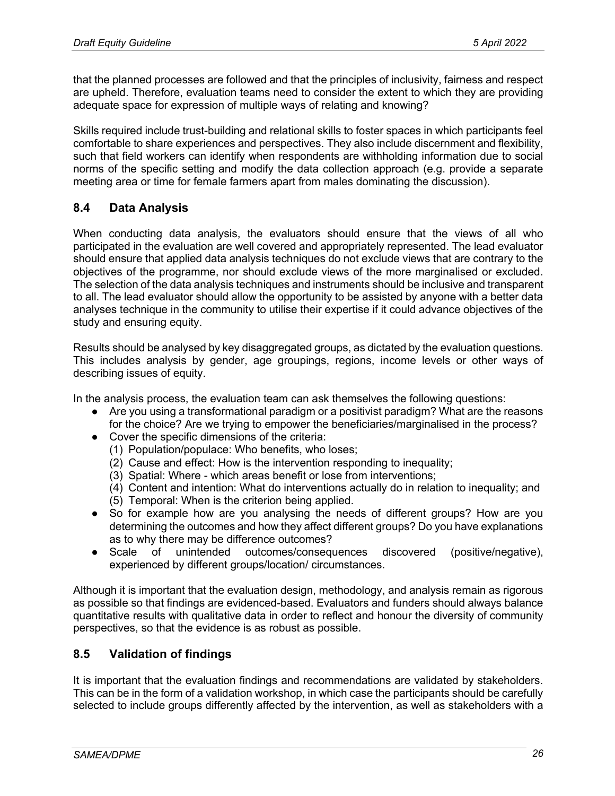that the planned processes are followed and that the principles of inclusivity, fairness and respect are upheld. Therefore, evaluation teams need to consider the extent to which they are providing adequate space for expression of multiple ways of relating and knowing?

Skills required include trust-building and relational skills to foster spaces in which participants feel comfortable to share experiences and perspectives. They also include discernment and flexibility, such that field workers can identify when respondents are withholding information due to social norms of the specific setting and modify the data collection approach (e.g. provide a separate meeting area or time for female farmers apart from males dominating the discussion).

## **8.4 Data Analysis**

When conducting data analysis, the evaluators should ensure that the views of all who participated in the evaluation are well covered and appropriately represented. The lead evaluator should ensure that applied data analysis techniques do not exclude views that are contrary to the objectives of the programme, nor should exclude views of the more marginalised or excluded. The selection of the data analysis techniques and instruments should be inclusive and transparent to all. The lead evaluator should allow the opportunity to be assisted by anyone with a better data analyses technique in the community to utilise their expertise if it could advance objectives of the study and ensuring equity.

Results should be analysed by key disaggregated groups, as dictated by the evaluation questions. This includes analysis by gender, age groupings, regions, income levels or other ways of describing issues of equity.

In the analysis process, the evaluation team can ask themselves the following questions:

- Are you using a transformational paradigm or a positivist paradigm? What are the reasons for the choice? Are we trying to empower the beneficiaries/marginalised in the process?
- Cover the specific dimensions of the criteria:
	- (1) Population/populace: Who benefits, who loses;
	- (2) Cause and effect: How is the intervention responding to inequality;
	- (3) Spatial: Where which areas benefit or lose from interventions;
	- (4) Content and intention: What do interventions actually do in relation to inequality; and
	- (5) Temporal: When is the criterion being applied.
- So for example how are you analysing the needs of different groups? How are you determining the outcomes and how they affect different groups? Do you have explanations as to why there may be difference outcomes?
- Scale of unintended outcomes/consequences discovered (positive/negative), experienced by different groups/location/ circumstances.

Although it is important that the evaluation design, methodology, and analysis remain as rigorous as possible so that findings are evidenced-based. Evaluators and funders should always balance quantitative results with qualitative data in order to reflect and honour the diversity of community perspectives, so that the evidence is as robust as possible.

## **8.5 Validation of findings**

It is important that the evaluation findings and recommendations are validated by stakeholders. This can be in the form of a validation workshop, in which case the participants should be carefully selected to include groups differently affected by the intervention, as well as stakeholders with a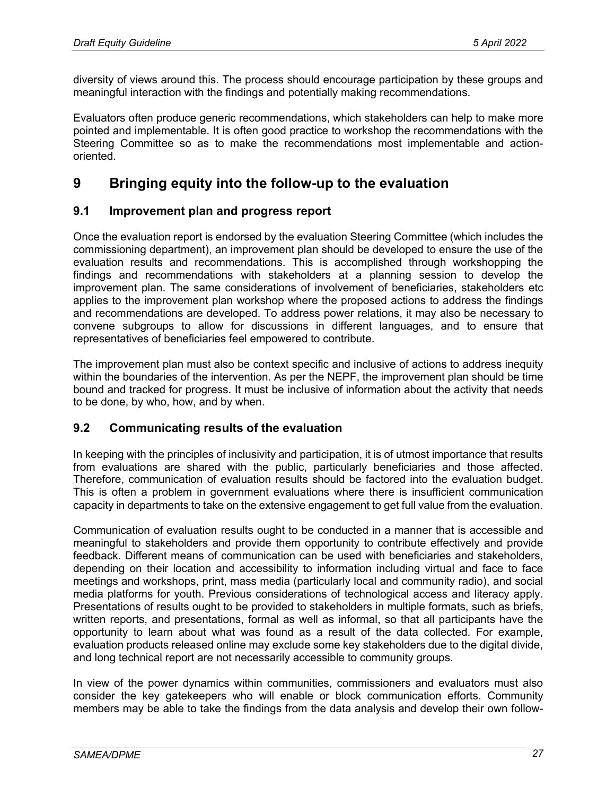diversity of views around this. The process should encourage participation by these groups and meaningful interaction with the findings and potentially making recommendations.

Evaluators often produce generic recommendations, which stakeholders can help to make more pointed and implementable. It is often good practice to workshop the recommendations with the Steering Committee so as to make the recommendations most implementable and actionoriented.

## **9 Bringing equity into the follow-up to the evaluation**

### **9.1 Improvement plan and progress report**

Once the evaluation report is endorsed by the evaluation Steering Committee (which includes the commissioning department), an improvement plan should be developed to ensure the use of the evaluation results and recommendations. This is accomplished through workshopping the findings and recommendations with stakeholders at a planning session to develop the improvement plan. The same considerations of involvement of beneficiaries, stakeholders etc applies to the improvement plan workshop where the proposed actions to address the findings and recommendations are developed. To address power relations, it may also be necessary to convene subgroups to allow for discussions in different languages, and to ensure that representatives of beneficiaries feel empowered to contribute.

The improvement plan must also be context specific and inclusive of actions to address inequity within the boundaries of the intervention. As per the NEPF, the improvement plan should be time bound and tracked for progress. It must be inclusive of information about the activity that needs to be done, by who, how, and by when.

## **9.2 Communicating results of the evaluation**

In keeping with the principles of inclusivity and participation, it is of utmost importance that results from evaluations are shared with the public, particularly beneficiaries and those affected. Therefore, communication of evaluation results should be factored into the evaluation budget. This is often a problem in government evaluations where there is insufficient communication capacity in departments to take on the extensive engagement to get full value from the evaluation.

Communication of evaluation results ought to be conducted in a manner that is accessible and meaningful to stakeholders and provide them opportunity to contribute effectively and provide feedback. Different means of communication can be used with beneficiaries and stakeholders, depending on their location and accessibility to information including virtual and face to face meetings and workshops, print, mass media (particularly local and community radio), and social media platforms for youth. Previous considerations of technological access and literacy apply. Presentations of results ought to be provided to stakeholders in multiple formats, such as briefs, written reports, and presentations, formal as well as informal, so that all participants have the opportunity to learn about what was found as a result of the data collected. For example, evaluation products released online may exclude some key stakeholders due to the digital divide, and long technical report are not necessarily accessible to community groups.

In view of the power dynamics within communities, commissioners and evaluators must also consider the key gatekeepers who will enable or block communication efforts. Community members may be able to take the findings from the data analysis and develop their own follow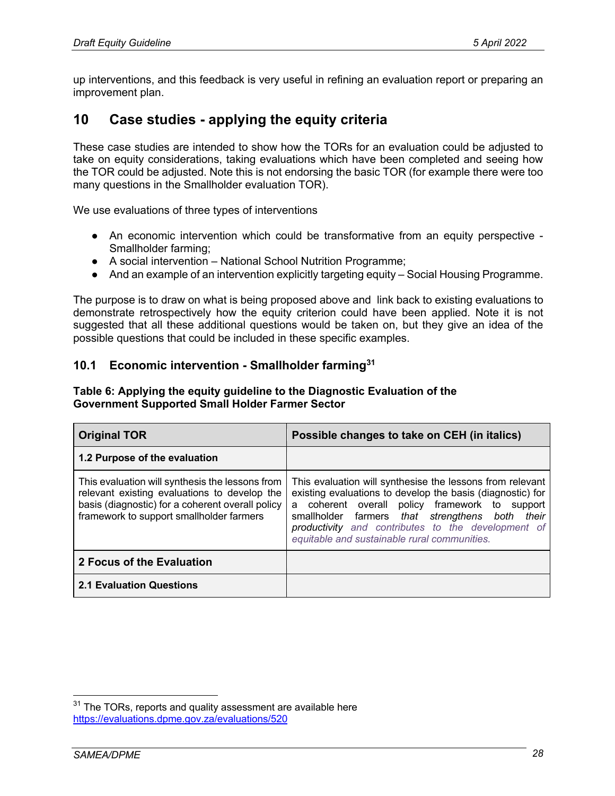up interventions, and this feedback is very useful in refining an evaluation report or preparing an improvement plan.

## **10 Case studies - applying the equity criteria**

These case studies are intended to show how the TORs for an evaluation could be adjusted to take on equity considerations, taking evaluations which have been completed and seeing how the TOR could be adjusted. Note this is not endorsing the basic TOR (for example there were too many questions in the Smallholder evaluation TOR).

We use evaluations of three types of interventions

- An economic intervention which could be transformative from an equity perspective -Smallholder farming;
- A social intervention National School Nutrition Programme;
- And an example of an intervention explicitly targeting equity Social Housing Programme.

The purpose is to draw on what is being proposed above and link back to existing evaluations to demonstrate retrospectively how the equity criterion could have been applied. Note it is not suggested that all these additional questions would be taken on, but they give an idea of the possible questions that could be included in these specific examples.

#### **10.1 Economic intervention - Smallholder farming31**

#### **Table 6: Applying the equity guideline to the Diagnostic Evaluation of the Government Supported Small Holder Farmer Sector**

| <b>Original TOR</b>                                                                                                                                                                             | Possible changes to take on CEH (in italics)                                                                                                                                                                                                                                                                                       |  |
|-------------------------------------------------------------------------------------------------------------------------------------------------------------------------------------------------|------------------------------------------------------------------------------------------------------------------------------------------------------------------------------------------------------------------------------------------------------------------------------------------------------------------------------------|--|
| 1.2 Purpose of the evaluation                                                                                                                                                                   |                                                                                                                                                                                                                                                                                                                                    |  |
| This evaluation will synthesis the lessons from<br>relevant existing evaluations to develop the<br>basis (diagnostic) for a coherent overall policy<br>framework to support smallholder farmers | This evaluation will synthesise the lessons from relevant<br>existing evaluations to develop the basis (diagnostic) for<br>a coherent overall policy framework to support<br>smallholder farmers that strengthens both their<br>productivity and contributes to the development of<br>equitable and sustainable rural communities. |  |
| 2 Focus of the Evaluation                                                                                                                                                                       |                                                                                                                                                                                                                                                                                                                                    |  |
| <b>2.1 Evaluation Questions</b>                                                                                                                                                                 |                                                                                                                                                                                                                                                                                                                                    |  |

 $31$  The TORs, reports and quality assessment are available here https://evaluations.dpme.gov.za/evaluations/520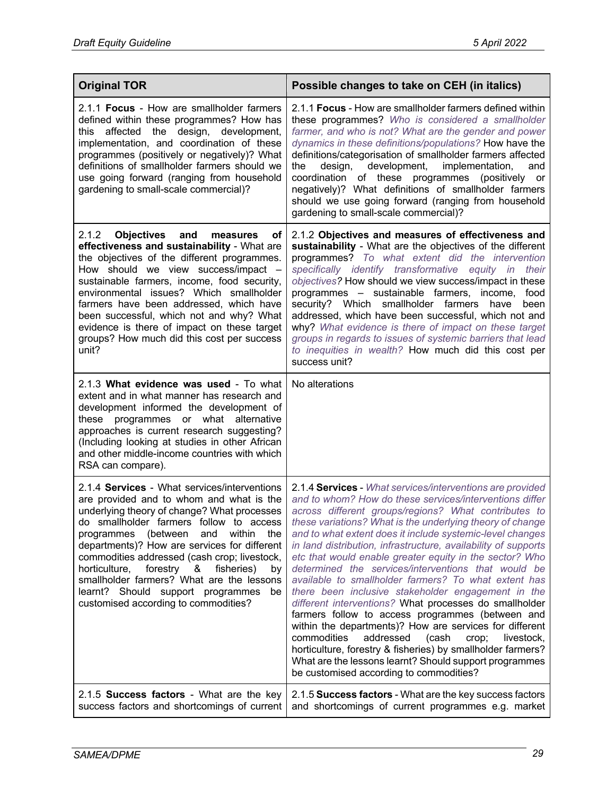| <b>Original TOR</b>                                                                                                                                                                                                                                                                                                                                                                                                                                                                                                      | Possible changes to take on CEH (in italics)                                                                                                                                                                                                                                                                                                                                                                                                                                                                                                                                                                                                                                                                                                                                                                                                                                                                                                                                                                      |
|--------------------------------------------------------------------------------------------------------------------------------------------------------------------------------------------------------------------------------------------------------------------------------------------------------------------------------------------------------------------------------------------------------------------------------------------------------------------------------------------------------------------------|-------------------------------------------------------------------------------------------------------------------------------------------------------------------------------------------------------------------------------------------------------------------------------------------------------------------------------------------------------------------------------------------------------------------------------------------------------------------------------------------------------------------------------------------------------------------------------------------------------------------------------------------------------------------------------------------------------------------------------------------------------------------------------------------------------------------------------------------------------------------------------------------------------------------------------------------------------------------------------------------------------------------|
| 2.1.1 Focus - How are smallholder farmers<br>defined within these programmes? How has<br>affected the design, development,<br>this<br>implementation, and coordination of these<br>programmes (positively or negatively)? What<br>definitions of smallholder farmers should we<br>use going forward (ranging from household<br>gardening to small-scale commercial)?                                                                                                                                                     | 2.1.1 <b>Focus</b> - How are smallholder farmers defined within<br>these programmes? Who is considered a smallholder<br>farmer, and who is not? What are the gender and power<br>dynamics in these definitions/populations? How have the<br>definitions/categorisation of smallholder farmers affected<br>development,<br>implementation,<br>the<br>design,<br>and<br>coordination of these programmes<br>(positively or<br>negatively)? What definitions of smallholder farmers<br>should we use going forward (ranging from household<br>gardening to small-scale commercial)?                                                                                                                                                                                                                                                                                                                                                                                                                                  |
| 2.1.2<br>Objectives and<br>measures<br>оf<br>effectiveness and sustainability - What are<br>the objectives of the different programmes.<br>How should we view success/impact -<br>sustainable farmers, income, food security,<br>environmental issues? Which smallholder<br>farmers have been addressed, which have<br>been successful, which not and why? What<br>evidence is there of impact on these target<br>groups? How much did this cost per success<br>unit?                                                    | 2.1.2 Objectives and measures of effectiveness and<br>sustainability - What are the objectives of the different<br>programmes? To what extent did the intervention<br>specifically identify transformative equity in<br>their<br>objectives? How should we view success/impact in these<br>programmes - sustainable farmers, income,<br>food<br>security? Which smallholder farmers<br>have<br>been<br>addressed, which have been successful, which not and<br>why? What evidence is there of impact on these target<br>groups in regards to issues of systemic barriers that lead<br>to inequities in wealth? How much did this cost per<br>success unit?                                                                                                                                                                                                                                                                                                                                                        |
| 2.1.3 What evidence was used - To what<br>extent and in what manner has research and<br>development informed the development of<br>these programmes or what alternative<br>approaches is current research suggesting?<br>(Including looking at studies in other African<br>and other middle-income countries with which<br>RSA can compare).                                                                                                                                                                             | No alterations                                                                                                                                                                                                                                                                                                                                                                                                                                                                                                                                                                                                                                                                                                                                                                                                                                                                                                                                                                                                    |
| 2.1.4 Services - What services/interventions<br>are provided and to whom and what is the<br>underlying theory of change? What processes<br>do smallholder farmers follow to access<br>programmes (between<br>and<br>within<br>the<br>departments)? How are services for different<br>commodities addressed (cash crop; livestock,<br>horticulture,<br>forestry<br>fisheries)<br>8.<br>by<br>smallholder farmers? What are the lessons<br>learnt? Should support programmes<br>be<br>customised according to commodities? | 2.1.4 Services - What services/interventions are provided<br>and to whom? How do these services/interventions differ<br>across different groups/regions? What contributes to<br>these variations? What is the underlying theory of change<br>and to what extent does it include systemic-level changes<br>in land distribution, infrastructure, availability of supports<br>etc that would enable greater equity in the sector? Who<br>determined the services/interventions that would be<br>available to smallholder farmers? To what extent has<br>there been inclusive stakeholder engagement in the<br>different interventions? What processes do smallholder<br>farmers follow to access programmes (between and<br>within the departments)? How are services for different<br>commodities<br>addressed<br>(cash<br>crop;<br>livestock,<br>horticulture, forestry & fisheries) by smallholder farmers?<br>What are the lessons learnt? Should support programmes<br>be customised according to commodities? |
| 2.1.5 Success factors - What are the key<br>success factors and shortcomings of current                                                                                                                                                                                                                                                                                                                                                                                                                                  | 2.1.5 Success factors - What are the key success factors<br>and shortcomings of current programmes e.g. market                                                                                                                                                                                                                                                                                                                                                                                                                                                                                                                                                                                                                                                                                                                                                                                                                                                                                                    |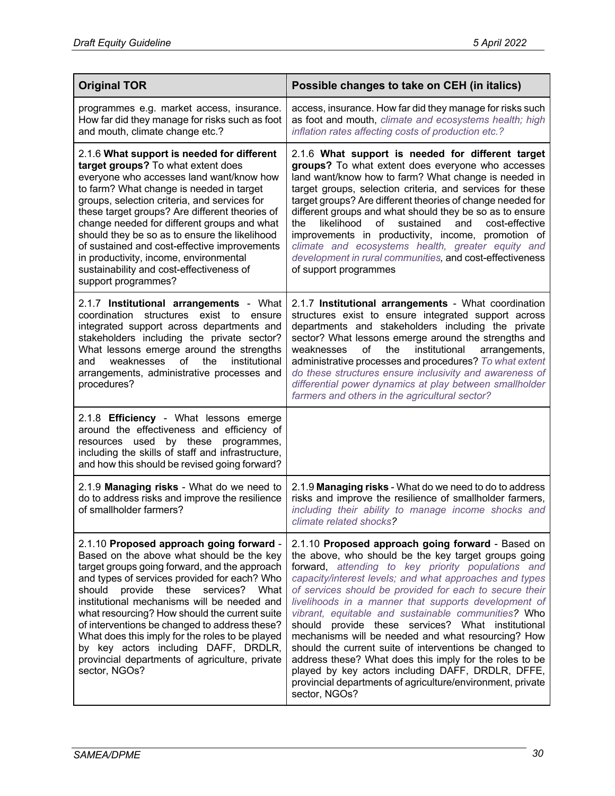| <b>Original TOR</b>                                                                                                                                                                                                                                                                                                                                                                                                                                                                                                                                   | Possible changes to take on CEH (in italics)                                                                                                                                                                                                                                                                                                                                                                                                                                                                                                                                                                                                                                                                                                                              |  |
|-------------------------------------------------------------------------------------------------------------------------------------------------------------------------------------------------------------------------------------------------------------------------------------------------------------------------------------------------------------------------------------------------------------------------------------------------------------------------------------------------------------------------------------------------------|---------------------------------------------------------------------------------------------------------------------------------------------------------------------------------------------------------------------------------------------------------------------------------------------------------------------------------------------------------------------------------------------------------------------------------------------------------------------------------------------------------------------------------------------------------------------------------------------------------------------------------------------------------------------------------------------------------------------------------------------------------------------------|--|
| programmes e.g. market access, insurance.<br>How far did they manage for risks such as foot<br>and mouth, climate change etc.?                                                                                                                                                                                                                                                                                                                                                                                                                        | access, insurance. How far did they manage for risks such<br>as foot and mouth, climate and ecosystems health; high<br>inflation rates affecting costs of production etc.?                                                                                                                                                                                                                                                                                                                                                                                                                                                                                                                                                                                                |  |
| 2.1.6 What support is needed for different<br>target groups? To what extent does<br>everyone who accesses land want/know how<br>to farm? What change is needed in target<br>groups, selection criteria, and services for<br>these target groups? Are different theories of<br>change needed for different groups and what<br>should they be so as to ensure the likelihood<br>of sustained and cost-effective improvements<br>in productivity, income, environmental<br>sustainability and cost-effectiveness of<br>support programmes?               | 2.1.6 What support is needed for different target<br>groups? To what extent does everyone who accesses<br>land want/know how to farm? What change is needed in<br>target groups, selection criteria, and services for these<br>target groups? Are different theories of change needed for<br>different groups and what should they be so as to ensure<br>likelihood<br>of<br>sustained<br>and<br>cost-effective<br>the<br>improvements in productivity, income, promotion of<br>climate and ecosystems health, greater equity and<br>development in rural communities, and cost-effectiveness<br>of support programmes                                                                                                                                                    |  |
| 2.1.7 Institutional arrangements - What<br>coordination<br>structures<br>exist to<br>ensure<br>integrated support across departments and<br>stakeholders including the private sector?<br>What lessons emerge around the strengths<br>weaknesses<br>of<br>the<br>institutional<br>and<br>arrangements, administrative processes and<br>procedures?                                                                                                                                                                                                    | 2.1.7 Institutional arrangements - What coordination<br>structures exist to ensure integrated support across<br>departments and stakeholders including the private<br>sector? What lessons emerge around the strengths and<br>the<br>institutional<br>weaknesses<br>of<br>arrangements,<br>administrative processes and procedures? To what extent<br>do these structures ensure inclusivity and awareness of<br>differential power dynamics at play between smallholder<br>farmers and others in the agricultural sector?                                                                                                                                                                                                                                                |  |
| 2.1.8 <b>Efficiency</b> - What lessons emerge<br>around the effectiveness and efficiency of<br>resources used<br>by these programmes,<br>including the skills of staff and infrastructure,<br>and how this should be revised going forward?                                                                                                                                                                                                                                                                                                           |                                                                                                                                                                                                                                                                                                                                                                                                                                                                                                                                                                                                                                                                                                                                                                           |  |
| 2.1.9 Managing risks - What do we need to<br>do to address risks and improve the resilience<br>of smallholder farmers?                                                                                                                                                                                                                                                                                                                                                                                                                                | 2.1.9 Managing risks - What do we need to do to address<br>risks and improve the resilience of smallholder farmers,<br>including their ability to manage income shocks and<br>climate related shocks?                                                                                                                                                                                                                                                                                                                                                                                                                                                                                                                                                                     |  |
| 2.1.10 Proposed approach going forward -<br>Based on the above what should be the key<br>target groups going forward, and the approach<br>and types of services provided for each? Who<br>provide<br>these<br>services? What<br>should<br>institutional mechanisms will be needed and<br>what resourcing? How should the current suite<br>of interventions be changed to address these?<br>What does this imply for the roles to be played<br>by key actors including DAFF, DRDLR,<br>provincial departments of agriculture, private<br>sector, NGOs? | 2.1.10 Proposed approach going forward - Based on<br>the above, who should be the key target groups going<br>forward, attending to key priority populations and<br>capacity/interest levels; and what approaches and types<br>of services should be provided for each to secure their<br>livelihoods in a manner that supports development of<br>vibrant, equitable and sustainable communities? Who<br>should provide these services? What institutional<br>mechanisms will be needed and what resourcing? How<br>should the current suite of interventions be changed to<br>address these? What does this imply for the roles to be<br>played by key actors including DAFF, DRDLR, DFFE,<br>provincial departments of agriculture/environment, private<br>sector, NGOs? |  |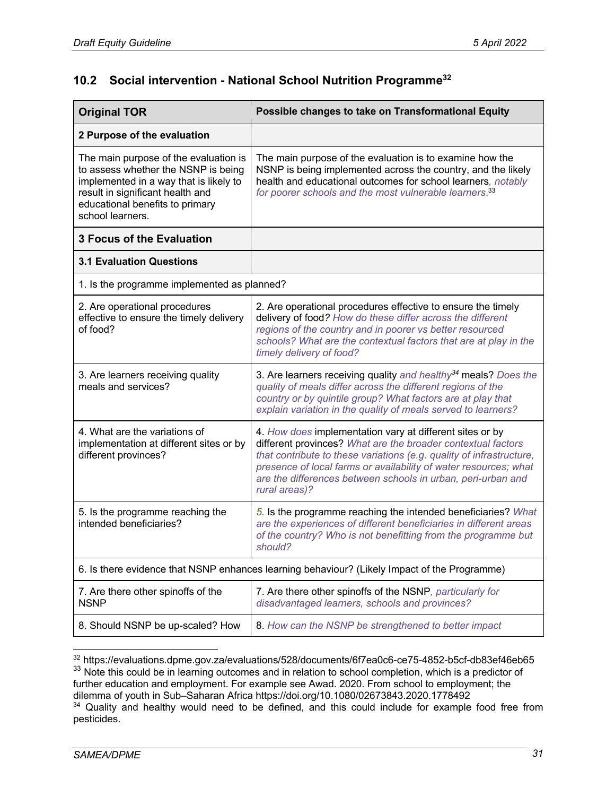## **10.2 Social intervention - National School Nutrition Programme32**

| <b>Original TOR</b>                                                                                                                                                                                               | Possible changes to take on Transformational Equity                                                                                                                                                                                                                                                                                                   |  |
|-------------------------------------------------------------------------------------------------------------------------------------------------------------------------------------------------------------------|-------------------------------------------------------------------------------------------------------------------------------------------------------------------------------------------------------------------------------------------------------------------------------------------------------------------------------------------------------|--|
| 2 Purpose of the evaluation                                                                                                                                                                                       |                                                                                                                                                                                                                                                                                                                                                       |  |
| The main purpose of the evaluation is<br>to assess whether the NSNP is being<br>implemented in a way that is likely to<br>result in significant health and<br>educational benefits to primary<br>school learners. | The main purpose of the evaluation is to examine how the<br>NSNP is being implemented across the country, and the likely<br>health and educational outcomes for school learners, notably<br>for poorer schools and the most vulnerable learners. <sup>33</sup>                                                                                        |  |
| <b>3 Focus of the Evaluation</b>                                                                                                                                                                                  |                                                                                                                                                                                                                                                                                                                                                       |  |
| <b>3.1 Evaluation Questions</b>                                                                                                                                                                                   |                                                                                                                                                                                                                                                                                                                                                       |  |
| 1. Is the programme implemented as planned?                                                                                                                                                                       |                                                                                                                                                                                                                                                                                                                                                       |  |
| 2. Are operational procedures<br>effective to ensure the timely delivery<br>of food?                                                                                                                              | 2. Are operational procedures effective to ensure the timely<br>delivery of food? How do these differ across the different<br>regions of the country and in poorer vs better resourced<br>schools? What are the contextual factors that are at play in the<br>timely delivery of food?                                                                |  |
| 3. Are learners receiving quality<br>meals and services?                                                                                                                                                          | 3. Are learners receiving quality and healthy <sup>34</sup> meals? Does the<br>quality of meals differ across the different regions of the<br>country or by quintile group? What factors are at play that<br>explain variation in the quality of meals served to learners?                                                                            |  |
| 4. What are the variations of<br>implementation at different sites or by<br>different provinces?                                                                                                                  | 4. How does implementation vary at different sites or by<br>different provinces? What are the broader contextual factors<br>that contribute to these variations (e.g. quality of infrastructure,<br>presence of local farms or availability of water resources; what<br>are the differences between schools in urban, peri-urban and<br>rural areas)? |  |
| 5. Is the programme reaching the<br>intended beneficiaries?                                                                                                                                                       | 5. Is the programme reaching the intended beneficiaries? What<br>are the experiences of different beneficiaries in different areas<br>of the country? Who is not benefitting from the programme but<br>should?                                                                                                                                        |  |
| 6. Is there evidence that NSNP enhances learning behaviour? (Likely Impact of the Programme)                                                                                                                      |                                                                                                                                                                                                                                                                                                                                                       |  |
| 7. Are there other spinoffs of the<br><b>NSNP</b>                                                                                                                                                                 | 7. Are there other spinoffs of the NSNP, particularly for<br>disadvantaged learners, schools and provinces?                                                                                                                                                                                                                                           |  |
| 8. Should NSNP be up-scaled? How                                                                                                                                                                                  | 8. How can the NSNP be strengthened to better impact                                                                                                                                                                                                                                                                                                  |  |

<sup>32</sup> https://evaluations.dpme.gov.za/evaluations/528/documents/6f7ea0c6-ce75-4852-b5cf-db83ef46eb65 <sup>33</sup> Note this could be in learning outcomes and in relation to school completion, which is a predictor of further education and employment. For example see Awad. 2020. From school to employment; the dilemma of youth in Sub–Saharan Africa https://doi.org/10.1080/02673843.2020.1778492  $34$  Quality and healthy would need to be defined, and this could include for example food free from pesticides.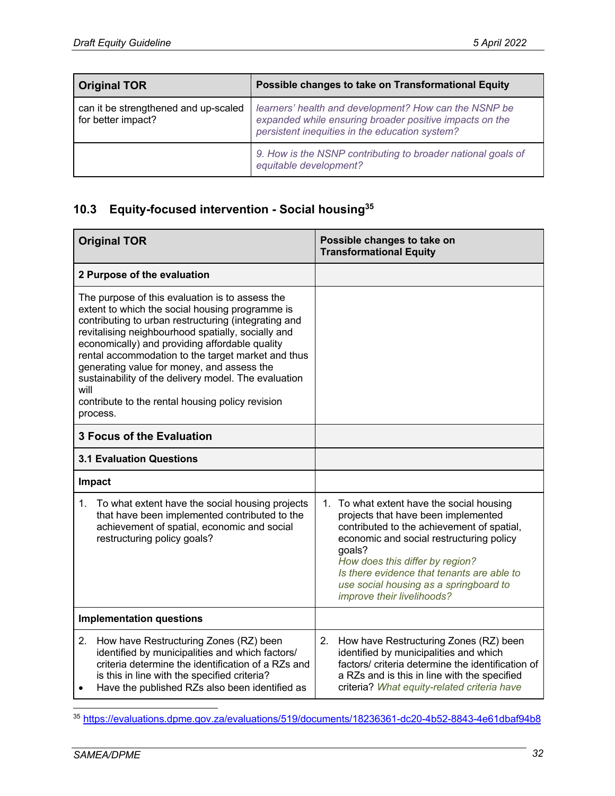| <b>Original TOR</b>                                        | Possible changes to take on Transformational Equity                                                                                                                |
|------------------------------------------------------------|--------------------------------------------------------------------------------------------------------------------------------------------------------------------|
| can it be strengthened and up-scaled<br>for better impact? | learners' health and development? How can the NSNP be<br>expanded while ensuring broader positive impacts on the<br>persistent inequities in the education system? |
|                                                            | 9. How is the NSNP contributing to broader national goals of<br>equitable development?                                                                             |

# **10.3 Equity-focused intervention - Social housing35**

| <b>Original TOR</b>                                                                                                                                                                                                                                                                                                                                                                                                                                                                                    | Possible changes to take on<br><b>Transformational Equity</b>                                                                                                                                                                                                                                                                                    |
|--------------------------------------------------------------------------------------------------------------------------------------------------------------------------------------------------------------------------------------------------------------------------------------------------------------------------------------------------------------------------------------------------------------------------------------------------------------------------------------------------------|--------------------------------------------------------------------------------------------------------------------------------------------------------------------------------------------------------------------------------------------------------------------------------------------------------------------------------------------------|
| 2 Purpose of the evaluation                                                                                                                                                                                                                                                                                                                                                                                                                                                                            |                                                                                                                                                                                                                                                                                                                                                  |
| The purpose of this evaluation is to assess the<br>extent to which the social housing programme is<br>contributing to urban restructuring (integrating and<br>revitalising neighbourhood spatially, socially and<br>economically) and providing affordable quality<br>rental accommodation to the target market and thus<br>generating value for money, and assess the<br>sustainability of the delivery model. The evaluation<br>will<br>contribute to the rental housing policy revision<br>process. |                                                                                                                                                                                                                                                                                                                                                  |
| <b>3 Focus of the Evaluation</b>                                                                                                                                                                                                                                                                                                                                                                                                                                                                       |                                                                                                                                                                                                                                                                                                                                                  |
| <b>3.1 Evaluation Questions</b>                                                                                                                                                                                                                                                                                                                                                                                                                                                                        |                                                                                                                                                                                                                                                                                                                                                  |
| Impact                                                                                                                                                                                                                                                                                                                                                                                                                                                                                                 |                                                                                                                                                                                                                                                                                                                                                  |
| 1.<br>To what extent have the social housing projects<br>that have been implemented contributed to the<br>achievement of spatial, economic and social<br>restructuring policy goals?                                                                                                                                                                                                                                                                                                                   | To what extent have the social housing<br>1.<br>projects that have been implemented<br>contributed to the achievement of spatial,<br>economic and social restructuring policy<br>goals?<br>How does this differ by region?<br>Is there evidence that tenants are able to<br>use social housing as a springboard to<br>improve their livelihoods? |
| <b>Implementation questions</b>                                                                                                                                                                                                                                                                                                                                                                                                                                                                        |                                                                                                                                                                                                                                                                                                                                                  |
| 2.<br>How have Restructuring Zones (RZ) been<br>identified by municipalities and which factors/<br>criteria determine the identification of a RZs and<br>is this in line with the specified criteria?<br>Have the published RZs also been identified as<br>$\bullet$                                                                                                                                                                                                                                   | How have Restructuring Zones (RZ) been<br>2.<br>identified by municipalities and which<br>factors/ criteria determine the identification of<br>a RZs and is this in line with the specified<br>criteria? What equity-related criteria have                                                                                                       |

<sup>35</sup> https://evaluations.dpme.gov.za/evaluations/519/documents/18236361-dc20-4b52-8843-4e61dbaf94b8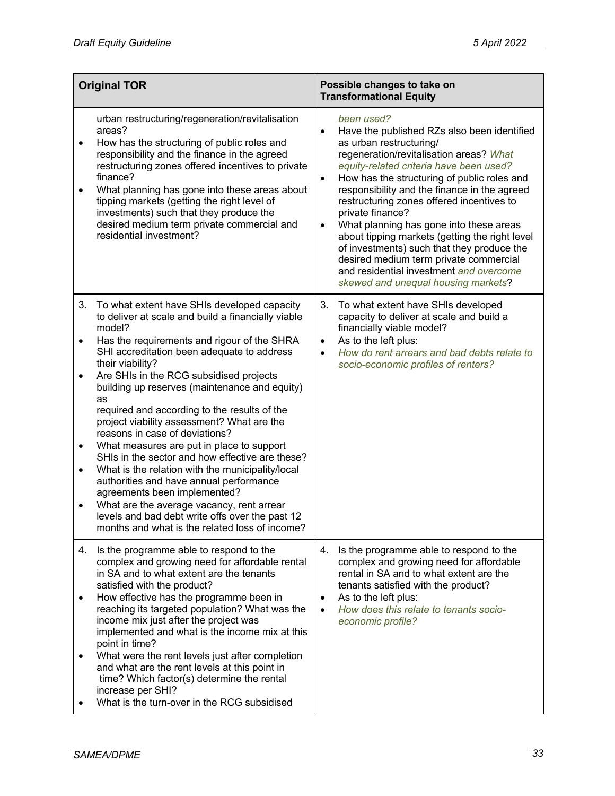|                                                             | <b>Original TOR</b>                                                                                                                                                                                                                                                                                                                                                                                                                                                                                                                                                                                                                                                                                                                                                                                                                             | Possible changes to take on<br><b>Transformational Equity</b>                                                                                                                                                                                                                                                                                                                                                                                                                                                                                                                                                                                            |  |
|-------------------------------------------------------------|-------------------------------------------------------------------------------------------------------------------------------------------------------------------------------------------------------------------------------------------------------------------------------------------------------------------------------------------------------------------------------------------------------------------------------------------------------------------------------------------------------------------------------------------------------------------------------------------------------------------------------------------------------------------------------------------------------------------------------------------------------------------------------------------------------------------------------------------------|----------------------------------------------------------------------------------------------------------------------------------------------------------------------------------------------------------------------------------------------------------------------------------------------------------------------------------------------------------------------------------------------------------------------------------------------------------------------------------------------------------------------------------------------------------------------------------------------------------------------------------------------------------|--|
| $\bullet$<br>$\bullet$                                      | urban restructuring/regeneration/revitalisation<br>areas?<br>How has the structuring of public roles and<br>responsibility and the finance in the agreed<br>restructuring zones offered incentives to private<br>finance?<br>What planning has gone into these areas about<br>tipping markets (getting the right level of<br>investments) such that they produce the<br>desired medium term private commercial and<br>residential investment?                                                                                                                                                                                                                                                                                                                                                                                                   | been used?<br>Have the published RZs also been identified<br>$\bullet$<br>as urban restructuring/<br>regeneration/revitalisation areas? What<br>equity-related criteria have been used?<br>How has the structuring of public roles and<br>$\bullet$<br>responsibility and the finance in the agreed<br>restructuring zones offered incentives to<br>private finance?<br>What planning has gone into these areas<br>$\bullet$<br>about tipping markets (getting the right level<br>of investments) such that they produce the<br>desired medium term private commercial<br>and residential investment and overcome<br>skewed and unequal housing markets? |  |
| 3.<br>$\bullet$<br>$\bullet$<br>$\bullet$<br>$\bullet$<br>٠ | To what extent have SHIs developed capacity<br>to deliver at scale and build a financially viable<br>model?<br>Has the requirements and rigour of the SHRA<br>SHI accreditation been adequate to address<br>their viability?<br>Are SHIs in the RCG subsidised projects<br>building up reserves (maintenance and equity)<br>as<br>required and according to the results of the<br>project viability assessment? What are the<br>reasons in case of deviations?<br>What measures are put in place to support<br>SHIs in the sector and how effective are these?<br>What is the relation with the municipality/local<br>authorities and have annual performance<br>agreements been implemented?<br>What are the average vacancy, rent arrear<br>levels and bad debt write offs over the past 12<br>months and what is the related loss of income? | 3.<br>To what extent have SHIs developed<br>capacity to deliver at scale and build a<br>financially viable model?<br>As to the left plus:<br>$\bullet$<br>How do rent arrears and bad debts relate to<br>$\bullet$<br>socio-economic profiles of renters?                                                                                                                                                                                                                                                                                                                                                                                                |  |
| 4.<br>$\bullet$<br>٠                                        | Is the programme able to respond to the<br>complex and growing need for affordable rental<br>in SA and to what extent are the tenants<br>satisfied with the product?<br>How effective has the programme been in<br>reaching its targeted population? What was the<br>income mix just after the project was<br>implemented and what is the income mix at this<br>point in time?<br>What were the rent levels just after completion<br>and what are the rent levels at this point in<br>time? Which factor(s) determine the rental<br>increase per SHI?<br>What is the turn-over in the RCG subsidised                                                                                                                                                                                                                                            | Is the programme able to respond to the<br>4.<br>complex and growing need for affordable<br>rental in SA and to what extent are the<br>tenants satisfied with the product?<br>As to the left plus:<br>$\bullet$<br>How does this relate to tenants socio-<br>$\bullet$<br>economic profile?                                                                                                                                                                                                                                                                                                                                                              |  |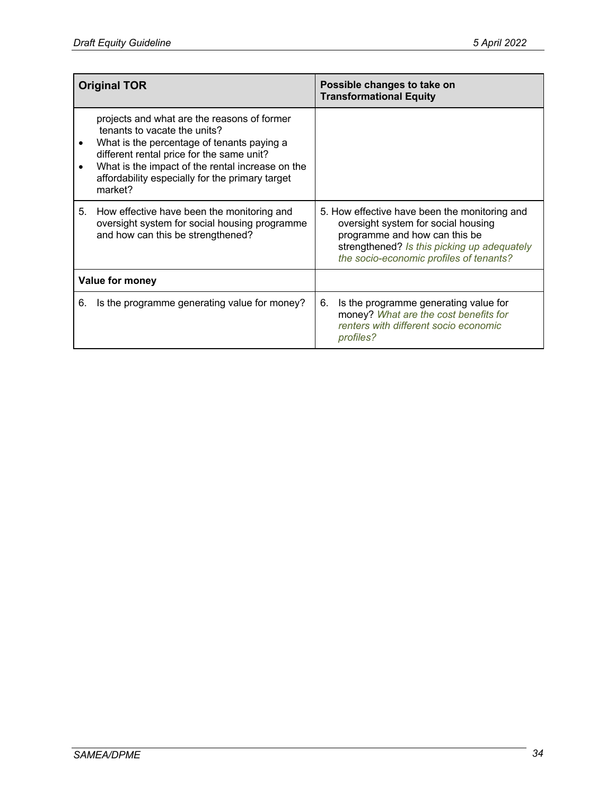| <b>Original TOR</b> |                                                                                                                                                                                                                                                                                          |    | Possible changes to take on<br><b>Transformational Equity</b>                                                                                                                                                   |
|---------------------|------------------------------------------------------------------------------------------------------------------------------------------------------------------------------------------------------------------------------------------------------------------------------------------|----|-----------------------------------------------------------------------------------------------------------------------------------------------------------------------------------------------------------------|
|                     | projects and what are the reasons of former<br>tenants to vacate the units?<br>What is the percentage of tenants paying a<br>different rental price for the same unit?<br>What is the impact of the rental increase on the<br>affordability especially for the primary target<br>market? |    |                                                                                                                                                                                                                 |
| 5.                  | How effective have been the monitoring and<br>oversight system for social housing programme<br>and how can this be strengthened?                                                                                                                                                         |    | 5. How effective have been the monitoring and<br>oversight system for social housing<br>programme and how can this be<br>strengthened? Is this picking up adequately<br>the socio-economic profiles of tenants? |
| Value for money     |                                                                                                                                                                                                                                                                                          |    |                                                                                                                                                                                                                 |
| 6.                  | Is the programme generating value for money?                                                                                                                                                                                                                                             | 6. | Is the programme generating value for<br>money? What are the cost benefits for<br>renters with different socio economic<br><i>profiles?</i>                                                                     |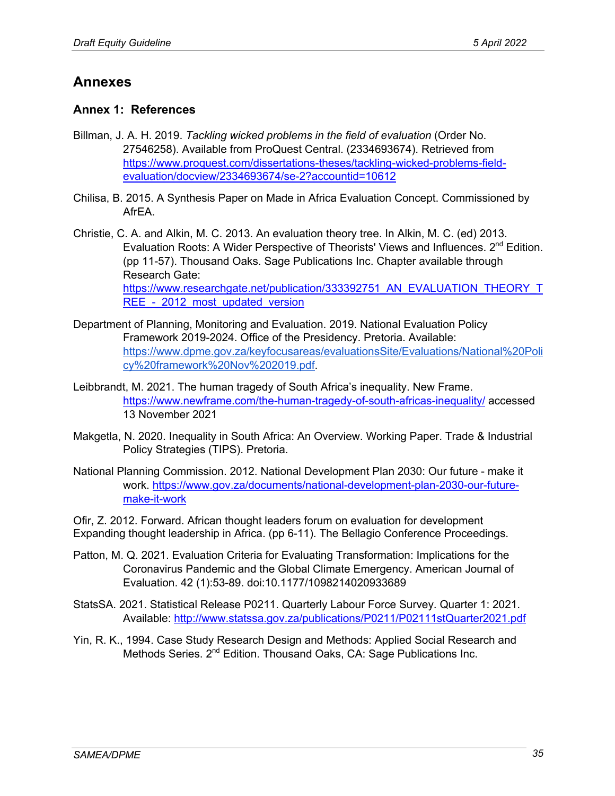## **Annexes**

### **Annex 1: References**

- Billman, J. A. H. 2019. *Tackling wicked problems in the field of evaluation* (Order No. 27546258). Available from ProQuest Central. (2334693674). Retrieved from https://www.proquest.com/dissertations-theses/tackling-wicked-problems-fieldevaluation/docview/2334693674/se-2?accountid=10612
- Chilisa, B. 2015. A Synthesis Paper on Made in Africa Evaluation Concept. Commissioned by AfrEA.
- Christie, C. A. and Alkin, M. C. 2013. An evaluation theory tree. In Alkin, M. C. (ed) 2013. Evaluation Roots: A Wider Perspective of Theorists' Views and Influences. 2<sup>nd</sup> Edition. (pp 11-57). Thousand Oaks. Sage Publications Inc. Chapter available through Research Gate: https://www.researchgate.net/publication/333392751\_AN\_EVALUATION\_THEORY\_T REE - 2012 most updated version
- Department of Planning, Monitoring and Evaluation. 2019. National Evaluation Policy Framework 2019-2024. Office of the Presidency. Pretoria. Available: https://www.dpme.gov.za/keyfocusareas/evaluationsSite/Evaluations/National%20Poli cy%20framework%20Nov%202019.pdf.
- Leibbrandt, M. 2021. The human tragedy of South Africa's inequality. New Frame. https://www.newframe.com/the-human-tragedy-of-south-africas-inequality/ accessed 13 November 2021
- Makgetla, N. 2020. Inequality in South Africa: An Overview. Working Paper. Trade & Industrial Policy Strategies (TIPS). Pretoria.
- National Planning Commission. 2012. National Development Plan 2030: Our future make it work. https://www.gov.za/documents/national-development-plan-2030-our-futuremake-it-work

Ofir, Z. 2012. Forward. African thought leaders forum on evaluation for development Expanding thought leadership in Africa. (pp 6-11). The Bellagio Conference Proceedings.

- Patton, M. Q. 2021. Evaluation Criteria for Evaluating Transformation: Implications for the Coronavirus Pandemic and the Global Climate Emergency. American Journal of Evaluation. 42 (1):53-89. doi:10.1177/1098214020933689
- StatsSA. 2021. Statistical Release P0211. Quarterly Labour Force Survey. Quarter 1: 2021. Available: http://www.statssa.gov.za/publications/P0211/P02111stQuarter2021.pdf
- Yin, R. K., 1994. Case Study Research Design and Methods: Applied Social Research and Methods Series. 2<sup>nd</sup> Edition. Thousand Oaks, CA: Sage Publications Inc.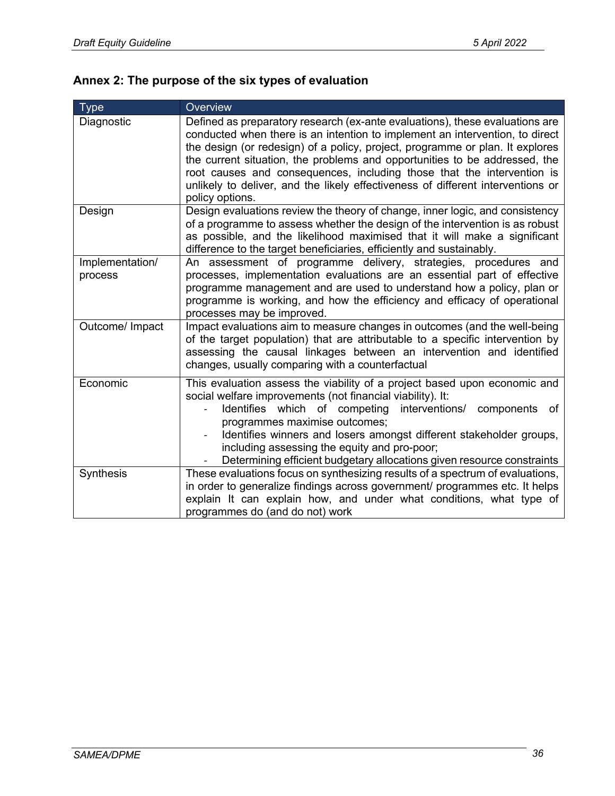# **Annex 2: The purpose of the six types of evaluation**

| <b>Type</b>                | Overview                                                                                                                                                                                                                                                                                                                                                                                                                                                                                                    |
|----------------------------|-------------------------------------------------------------------------------------------------------------------------------------------------------------------------------------------------------------------------------------------------------------------------------------------------------------------------------------------------------------------------------------------------------------------------------------------------------------------------------------------------------------|
| Diagnostic                 | Defined as preparatory research (ex-ante evaluations), these evaluations are<br>conducted when there is an intention to implement an intervention, to direct<br>the design (or redesign) of a policy, project, programme or plan. It explores<br>the current situation, the problems and opportunities to be addressed, the<br>root causes and consequences, including those that the intervention is<br>unlikely to deliver, and the likely effectiveness of different interventions or<br>policy options. |
| Design                     | Design evaluations review the theory of change, inner logic, and consistency<br>of a programme to assess whether the design of the intervention is as robust<br>as possible, and the likelihood maximised that it will make a significant<br>difference to the target beneficiaries, efficiently and sustainably.                                                                                                                                                                                           |
| Implementation/<br>process | An assessment of programme delivery, strategies, procedures and<br>processes, implementation evaluations are an essential part of effective<br>programme management and are used to understand how a policy, plan or<br>programme is working, and how the efficiency and efficacy of operational<br>processes may be improved.                                                                                                                                                                              |
| Outcome/ Impact            | Impact evaluations aim to measure changes in outcomes (and the well-being<br>of the target population) that are attributable to a specific intervention by<br>assessing the causal linkages between an intervention and identified<br>changes, usually comparing with a counterfactual                                                                                                                                                                                                                      |
| Economic                   | This evaluation assess the viability of a project based upon economic and<br>social welfare improvements (not financial viability). It:<br>Identifies which of competing<br>interventions/ components<br>of<br>programmes maximise outcomes;<br>Identifies winners and losers amongst different stakeholder groups,<br>including assessing the equity and pro-poor;<br>Determining efficient budgetary allocations given resource constraints                                                               |
| Synthesis                  | These evaluations focus on synthesizing results of a spectrum of evaluations,<br>in order to generalize findings across government/ programmes etc. It helps<br>explain It can explain how, and under what conditions, what type of<br>programmes do (and do not) work                                                                                                                                                                                                                                      |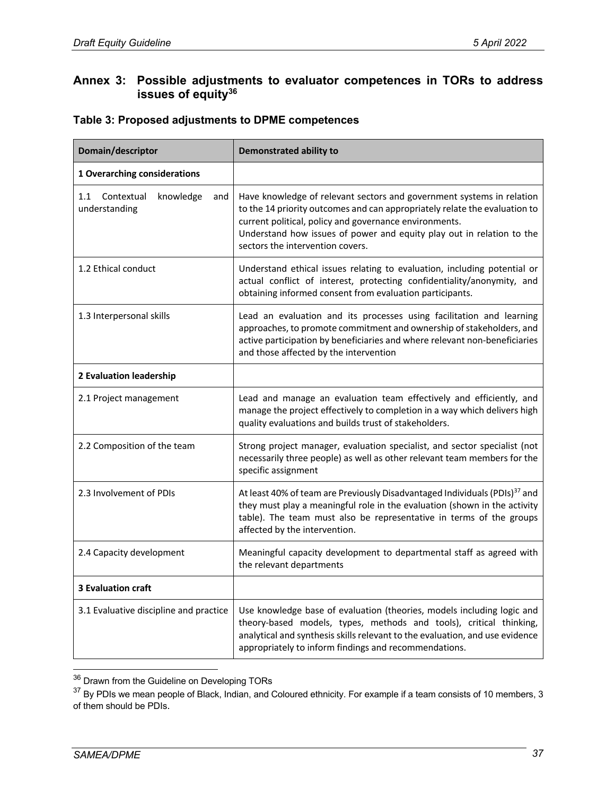### **Annex 3: Possible adjustments to evaluator competences in TORs to address issues of equity36**

#### **Table 3: Proposed adjustments to DPME competences**

| Domain/descriptor                                      | <b>Demonstrated ability to</b>                                                                                                                                                                                                                                                                                             |
|--------------------------------------------------------|----------------------------------------------------------------------------------------------------------------------------------------------------------------------------------------------------------------------------------------------------------------------------------------------------------------------------|
| 1 Overarching considerations                           |                                                                                                                                                                                                                                                                                                                            |
| 1.1<br>Contextual<br>knowledge<br>and<br>understanding | Have knowledge of relevant sectors and government systems in relation<br>to the 14 priority outcomes and can appropriately relate the evaluation to<br>current political, policy and governance environments.<br>Understand how issues of power and equity play out in relation to the<br>sectors the intervention covers. |
| 1.2 Ethical conduct                                    | Understand ethical issues relating to evaluation, including potential or<br>actual conflict of interest, protecting confidentiality/anonymity, and<br>obtaining informed consent from evaluation participants.                                                                                                             |
| 1.3 Interpersonal skills                               | Lead an evaluation and its processes using facilitation and learning<br>approaches, to promote commitment and ownership of stakeholders, and<br>active participation by beneficiaries and where relevant non-beneficiaries<br>and those affected by the intervention                                                       |
| 2 Evaluation leadership                                |                                                                                                                                                                                                                                                                                                                            |
| 2.1 Project management                                 | Lead and manage an evaluation team effectively and efficiently, and<br>manage the project effectively to completion in a way which delivers high<br>quality evaluations and builds trust of stakeholders.                                                                                                                  |
| 2.2 Composition of the team                            | Strong project manager, evaluation specialist, and sector specialist (not<br>necessarily three people) as well as other relevant team members for the<br>specific assignment                                                                                                                                               |
| 2.3 Involvement of PDIs                                | At least 40% of team are Previously Disadvantaged Individuals (PDIs) <sup>37</sup> and<br>they must play a meaningful role in the evaluation (shown in the activity<br>table). The team must also be representative in terms of the groups<br>affected by the intervention.                                                |
| 2.4 Capacity development                               | Meaningful capacity development to departmental staff as agreed with<br>the relevant departments                                                                                                                                                                                                                           |
| <b>3 Evaluation craft</b>                              |                                                                                                                                                                                                                                                                                                                            |
| 3.1 Evaluative discipline and practice                 | Use knowledge base of evaluation (theories, models including logic and<br>theory-based models, types, methods and tools), critical thinking,<br>analytical and synthesis skills relevant to the evaluation, and use evidence<br>appropriately to inform findings and recommendations.                                      |

<sup>&</sup>lt;sup>36</sup> Drawn from the Guideline on Developing TORs

<sup>&</sup>lt;sup>37</sup> By PDIs we mean people of Black, Indian, and Coloured ethnicity. For example if a team consists of 10 members, 3 of them should be PDIs.